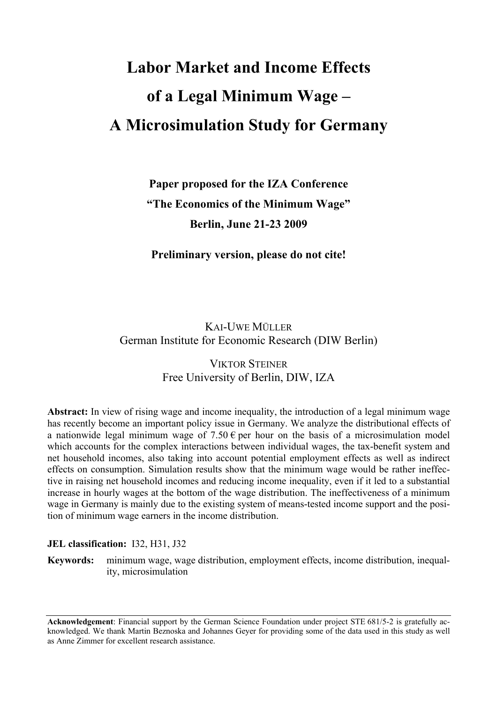# **Labor Market and Income Effects of a Legal Minimum Wage – A Microsimulation Study for Germany**

# **Paper proposed for the IZA Conference "The Economics of the Minimum Wage" Berlin, June 21-23 2009**

**Preliminary version, please do not cite!** 

# KAI-UWE MÜLLER German Institute for Economic Research (DIW Berlin)

# VIKTOR STEINER Free University of Berlin, DIW, IZA

**Abstract:** In view of rising wage and income inequality, the introduction of a legal minimum wage has recently become an important policy issue in Germany. We analyze the distributional effects of a nationwide legal minimum wage of  $7.50 \text{ } \infty$  per hour on the basis of a microsimulation model which accounts for the complex interactions between individual wages, the tax-benefit system and net household incomes, also taking into account potential employment effects as well as indirect effects on consumption. Simulation results show that the minimum wage would be rather ineffective in raising net household incomes and reducing income inequality, even if it led to a substantial increase in hourly wages at the bottom of the wage distribution. The ineffectiveness of a minimum wage in Germany is mainly due to the existing system of means-tested income support and the position of minimum wage earners in the income distribution.

#### **JEL classification:** I32, H31, J32

**Keywords:** minimum wage, wage distribution, employment effects, income distribution, inequality, microsimulation

**Acknowledgement**: Financial support by the German Science Foundation under project STE 681/5-2 is gratefully acknowledged. We thank Martin Beznoska and Johannes Geyer for providing some of the data used in this study as well as Anne Zimmer for excellent research assistance.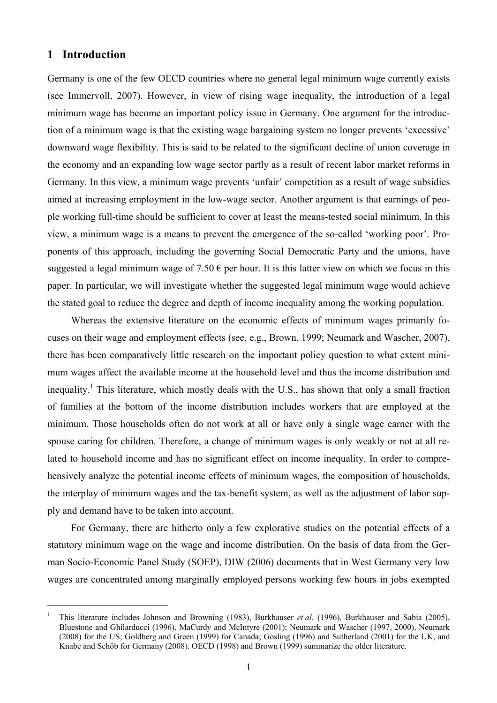## **1 Introduction**

 $\overline{a}$ 

Germany is one of the few OECD countries where no general legal minimum wage currently exists (see Immervoll, 2007). However, in view of rising wage inequality, the introduction of a legal minimum wage has become an important policy issue in Germany. One argument for the introduction of a minimum wage is that the existing wage bargaining system no longer prevents 'excessive' downward wage flexibility. This is said to be related to the significant decline of union coverage in the economy and an expanding low wage sector partly as a result of recent labor market reforms in Germany. In this view, a minimum wage prevents 'unfair' competition as a result of wage subsidies aimed at increasing employment in the low-wage sector. Another argument is that earnings of people working full-time should be sufficient to cover at least the means-tested social minimum. In this view, a minimum wage is a means to prevent the emergence of the so-called 'working poor'. Proponents of this approach, including the governing Social Democratic Party and the unions, have suggested a legal minimum wage of  $7.50 \in \text{per hour}$ . It is this latter view on which we focus in this paper. In particular, we will investigate whether the suggested legal minimum wage would achieve the stated goal to reduce the degree and depth of income inequality among the working population.

Whereas the extensive literature on the economic effects of minimum wages primarily focuses on their wage and employment effects (see, e.g., Brown, 1999; Neumark and Wascher, 2007), there has been comparatively little research on the important policy question to what extent minimum wages affect the available income at the household level and thus the income distribution and inequality.<sup>1</sup> This literature, which mostly deals with the U.S., has shown that only a small fraction of families at the bottom of the income distribution includes workers that are employed at the minimum. Those households often do not work at all or have only a single wage earner with the spouse caring for children. Therefore, a change of minimum wages is only weakly or not at all related to household income and has no significant effect on income inequality. In order to comprehensively analyze the potential income effects of minimum wages, the composition of households, the interplay of minimum wages and the tax-benefit system, as well as the adjustment of labor supply and demand have to be taken into account.

For Germany, there are hitherto only a few explorative studies on the potential effects of a statutory minimum wage on the wage and income distribution. On the basis of data from the German Socio-Economic Panel Study (SOEP), DIW (2006) documents that in West Germany very low wages are concentrated among marginally employed persons working few hours in jobs exempted

<sup>1</sup> This literature includes Johnson and Browning (1983), Burkhauser *et al*. (1996), Burkhauser and Sabia (2005), Bluestone and Ghilarducci (1996), MaCurdy and McIntyre (2001); Neumark and Wascher (1997, 2000), Neumark (2008) for the US; Goldberg and Green (1999) for Canada; Gosling (1996) and Sutherland (2001) for the UK, and Knabe and Schöb for Germany (2008). OECD (1998) and Brown (1999) summarize the older literature.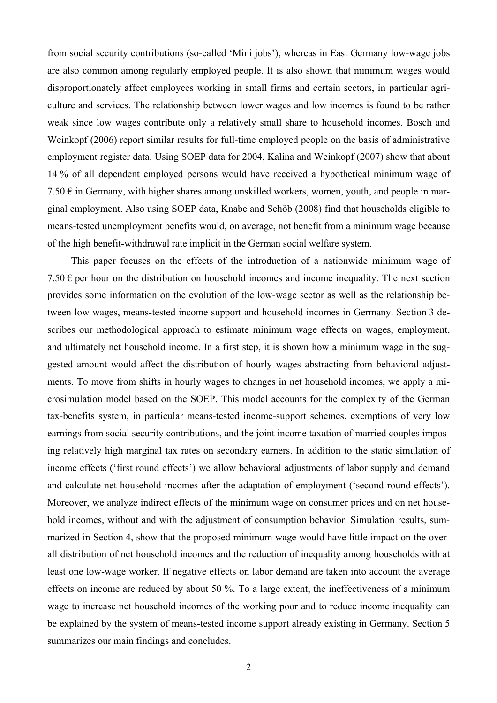from social security contributions (so-called 'Mini jobs'), whereas in East Germany low-wage jobs are also common among regularly employed people. It is also shown that minimum wages would disproportionately affect employees working in small firms and certain sectors, in particular agriculture and services. The relationship between lower wages and low incomes is found to be rather weak since low wages contribute only a relatively small share to household incomes. Bosch and Weinkopf (2006) report similar results for full-time employed people on the basis of administrative employment register data. Using SOEP data for 2004, Kalina and Weinkopf (2007) show that about 14 % of all dependent employed persons would have received a hypothetical minimum wage of  $7.50 \in \mathfrak{in}$  Germany, with higher shares among unskilled workers, women, youth, and people in marginal employment. Also using SOEP data, Knabe and Schöb (2008) find that households eligible to means-tested unemployment benefits would, on average, not benefit from a minimum wage because of the high benefit-withdrawal rate implicit in the German social welfare system.

This paper focuses on the effects of the introduction of a nationwide minimum wage of 7.50  $\epsilon$  per hour on the distribution on household incomes and income inequality. The next section provides some information on the evolution of the low-wage sector as well as the relationship between low wages, means-tested income support and household incomes in Germany. Section 3 describes our methodological approach to estimate minimum wage effects on wages, employment, and ultimately net household income. In a first step, it is shown how a minimum wage in the suggested amount would affect the distribution of hourly wages abstracting from behavioral adjustments. To move from shifts in hourly wages to changes in net household incomes, we apply a microsimulation model based on the SOEP. This model accounts for the complexity of the German tax-benefits system, in particular means-tested income-support schemes, exemptions of very low earnings from social security contributions, and the joint income taxation of married couples imposing relatively high marginal tax rates on secondary earners. In addition to the static simulation of income effects ('first round effects') we allow behavioral adjustments of labor supply and demand and calculate net household incomes after the adaptation of employment ('second round effects'). Moreover, we analyze indirect effects of the minimum wage on consumer prices and on net household incomes, without and with the adjustment of consumption behavior. Simulation results, summarized in Section 4, show that the proposed minimum wage would have little impact on the overall distribution of net household incomes and the reduction of inequality among households with at least one low-wage worker. If negative effects on labor demand are taken into account the average effects on income are reduced by about 50 %. To a large extent, the ineffectiveness of a minimum wage to increase net household incomes of the working poor and to reduce income inequality can be explained by the system of means-tested income support already existing in Germany. Section 5 summarizes our main findings and concludes.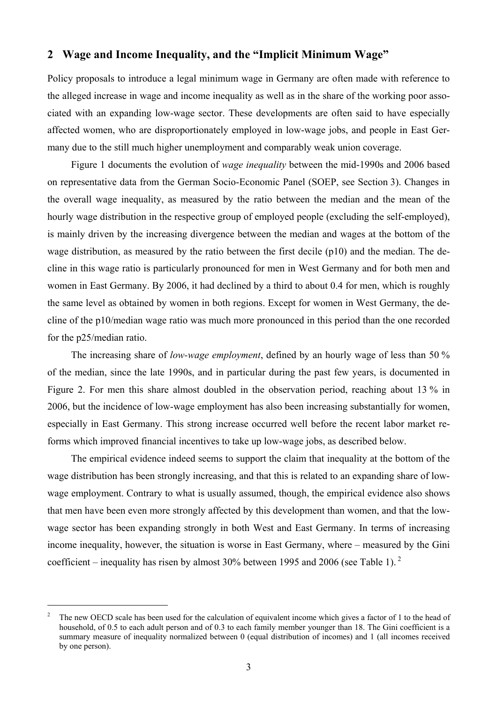# **2 Wage and Income Inequality, and the "Implicit Minimum Wage"**

Policy proposals to introduce a legal minimum wage in Germany are often made with reference to the alleged increase in wage and income inequality as well as in the share of the working poor associated with an expanding low-wage sector. These developments are often said to have especially affected women, who are disproportionately employed in low-wage jobs, and people in East Germany due to the still much higher unemployment and comparably weak union coverage.

Figure 1 documents the evolution of *wage inequality* between the mid-1990s and 2006 based on representative data from the German Socio-Economic Panel (SOEP, see Section 3). Changes in the overall wage inequality, as measured by the ratio between the median and the mean of the hourly wage distribution in the respective group of employed people (excluding the self-employed), is mainly driven by the increasing divergence between the median and wages at the bottom of the wage distribution, as measured by the ratio between the first decile (p10) and the median. The decline in this wage ratio is particularly pronounced for men in West Germany and for both men and women in East Germany. By 2006, it had declined by a third to about 0.4 for men, which is roughly the same level as obtained by women in both regions. Except for women in West Germany, the decline of the p10/median wage ratio was much more pronounced in this period than the one recorded for the p25/median ratio.

The increasing share of *low-wage employment*, defined by an hourly wage of less than 50 % of the median, since the late 1990s, and in particular during the past few years, is documented in Figure 2. For men this share almost doubled in the observation period, reaching about 13 % in 2006, but the incidence of low-wage employment has also been increasing substantially for women, especially in East Germany. This strong increase occurred well before the recent labor market reforms which improved financial incentives to take up low-wage jobs, as described below.

The empirical evidence indeed seems to support the claim that inequality at the bottom of the wage distribution has been strongly increasing, and that this is related to an expanding share of lowwage employment. Contrary to what is usually assumed, though, the empirical evidence also shows that men have been even more strongly affected by this development than women, and that the lowwage sector has been expanding strongly in both West and East Germany. In terms of increasing income inequality, however, the situation is worse in East Germany, where – measured by the Gini coefficient – inequality has risen by almost 30% between 1995 and 2006 (see Table 1).  $2^{\circ}$ 

<sup>2</sup> The new OECD scale has been used for the calculation of equivalent income which gives a factor of 1 to the head of household, of 0.5 to each adult person and of 0.3 to each family member younger than 18. The Gini coefficient is a summary measure of inequality normalized between 0 (equal distribution of incomes) and 1 (all incomes received by one person).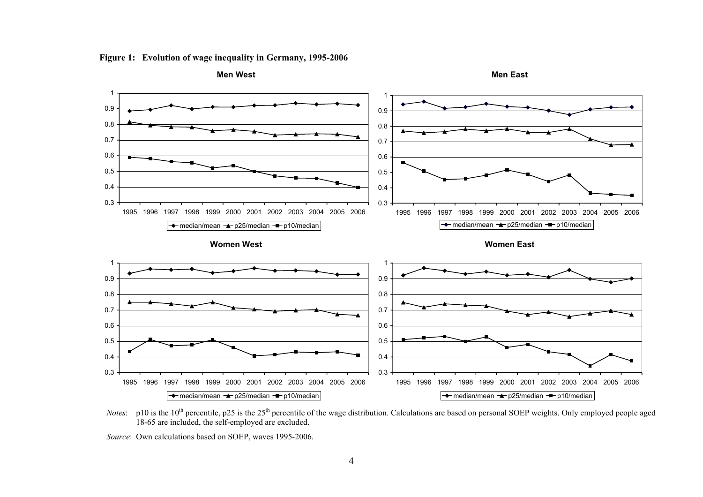



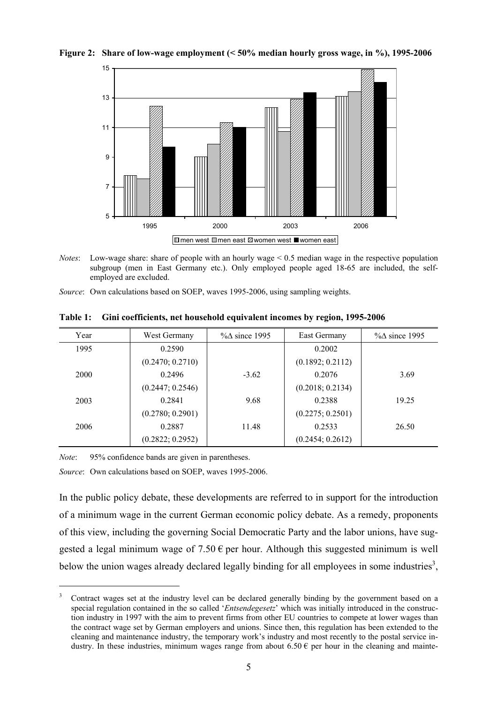

**Figure 2: Share of low-wage employment (< 50% median hourly gross wage, in %), 1995-2006** 

- *Notes*: Low-wage share: share of people with an hourly wage < 0.5 median wage in the respective population subgroup (men in East Germany etc.). Only employed people aged 18-65 are included, the selfemployed are excluded.
- *Source*: Own calculations based on SOEP, waves 1995-2006, using sampling weights.

| Year | West Germany     | $\% \Delta$ since 1995 | East Germany     | $\% \Delta$ since 1995 |
|------|------------------|------------------------|------------------|------------------------|
| 1995 | 0.2590           |                        | 0.2002           |                        |
|      | (0.2470; 0.2710) |                        | (0.1892; 0.2112) |                        |
| 2000 | 0.2496           | $-3.62$                | 0.2076           | 3.69                   |
|      | (0.2447; 0.2546) |                        | (0.2018; 0.2134) |                        |
| 2003 | 0.2841           | 9.68                   | 0.2388           | 19.25                  |
|      | (0.2780; 0.2901) |                        | (0.2275; 0.2501) |                        |
| 2006 | 0.2887           | 11.48                  | 0.2533           | 26.50                  |
|      | (0.2822; 0.2952) |                        | (0.2454; 0.2612) |                        |

**Table 1: Gini coefficients, net household equivalent incomes by region, 1995-2006** 

*Note*: 95% confidence bands are given in parentheses.

 $\overline{a}$ 

*Source*: Own calculations based on SOEP, waves 1995-2006.

In the public policy debate, these developments are referred to in support for the introduction of a minimum wage in the current German economic policy debate. As a remedy, proponents of this view, including the governing Social Democratic Party and the labor unions, have suggested a legal minimum wage of  $7.50 \in \text{per hour}$ . Although this suggested minimum is well below the union wages already declared legally binding for all employees in some industries<sup>3</sup>,

<sup>3</sup> Contract wages set at the industry level can be declared generally binding by the government based on a special regulation contained in the so called '*Entsendegesetz*' which was initially introduced in the construction industry in 1997 with the aim to prevent firms from other EU countries to compete at lower wages than the contract wage set by German employers and unions. Since then, this regulation has been extended to the cleaning and maintenance industry, the temporary work's industry and most recently to the postal service industry. In these industries, minimum wages range from about 6.50  $\epsilon$  per hour in the cleaning and mainte-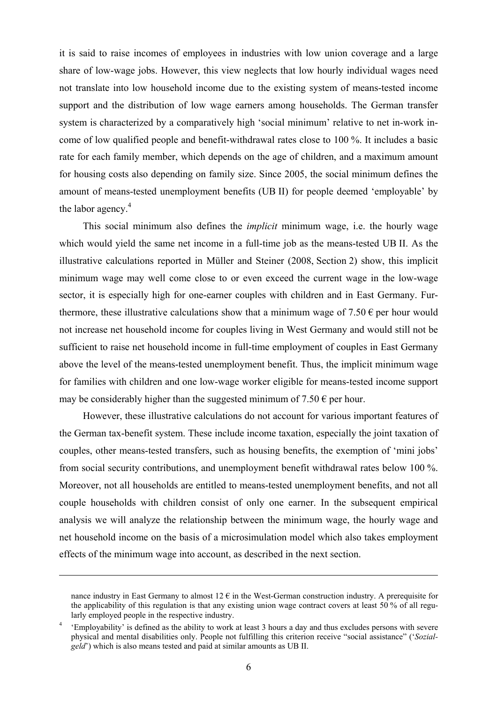it is said to raise incomes of employees in industries with low union coverage and a large share of low-wage jobs. However, this view neglects that low hourly individual wages need not translate into low household income due to the existing system of means-tested income support and the distribution of low wage earners among households. The German transfer system is characterized by a comparatively high 'social minimum' relative to net in-work income of low qualified people and benefit-withdrawal rates close to 100 %. It includes a basic rate for each family member, which depends on the age of children, and a maximum amount for housing costs also depending on family size. Since 2005, the social minimum defines the amount of means-tested unemployment benefits (UB II) for people deemed 'employable' by the labor agency. $4$ 

This social minimum also defines the *implicit* minimum wage, i.e. the hourly wage which would yield the same net income in a full-time job as the means-tested UB II. As the illustrative calculations reported in Müller and Steiner (2008, Section 2) show, this implicit minimum wage may well come close to or even exceed the current wage in the low-wage sector, it is especially high for one-earner couples with children and in East Germany. Furthermore, these illustrative calculations show that a minimum wage of 7.50  $\epsilon$  per hour would not increase net household income for couples living in West Germany and would still not be sufficient to raise net household income in full-time employment of couples in East Germany above the level of the means-tested unemployment benefit. Thus, the implicit minimum wage for families with children and one low-wage worker eligible for means-tested income support may be considerably higher than the suggested minimum of  $7.50 \in$  per hour.

However, these illustrative calculations do not account for various important features of the German tax-benefit system. These include income taxation, especially the joint taxation of couples, other means-tested transfers, such as housing benefits, the exemption of 'mini jobs' from social security contributions, and unemployment benefit withdrawal rates below 100 %. Moreover, not all households are entitled to means-tested unemployment benefits, and not all couple households with children consist of only one earner. In the subsequent empirical analysis we will analyze the relationship between the minimum wage, the hourly wage and net household income on the basis of a microsimulation model which also takes employment effects of the minimum wage into account, as described in the next section.

nance industry in East Germany to almost  $12 \in$  in the West-German construction industry. A prerequisite for the applicability of this regulation is that any existing union wage contract covers at least 50 % of all regularly employed people in the respective industry.

<sup>4</sup> 'Employability' is defined as the ability to work at least 3 hours a day and thus excludes persons with severe physical and mental disabilities only. People not fulfilling this criterion receive "social assistance" ('*Sozialgeld*') which is also means tested and paid at similar amounts as UB II.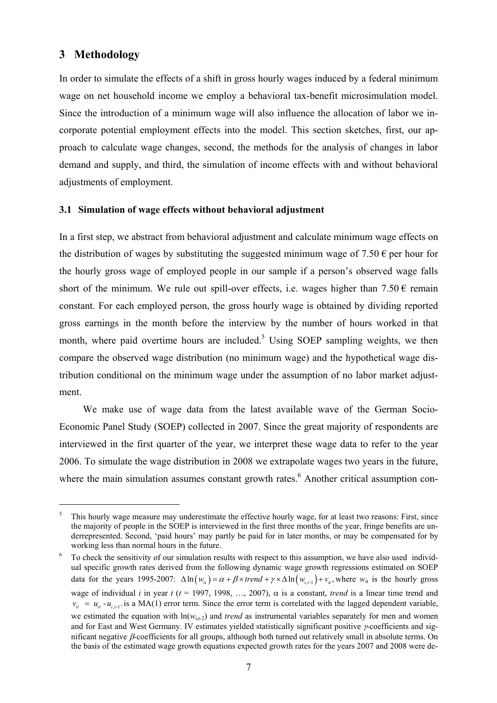# **3 Methodology**

 $\overline{a}$ 

In order to simulate the effects of a shift in gross hourly wages induced by a federal minimum wage on net household income we employ a behavioral tax-benefit microsimulation model. Since the introduction of a minimum wage will also influence the allocation of labor we incorporate potential employment effects into the model. This section sketches, first, our approach to calculate wage changes, second, the methods for the analysis of changes in labor demand and supply, and third, the simulation of income effects with and without behavioral adjustments of employment.

#### **3.1 Simulation of wage effects without behavioral adjustment**

In a first step, we abstract from behavioral adjustment and calculate minimum wage effects on the distribution of wages by substituting the suggested minimum wage of  $7.50 \in$  per hour for the hourly gross wage of employed people in our sample if a person's observed wage falls short of the minimum. We rule out spill-over effects, i.e. wages higher than  $7.50 \in \text{remain}$ constant. For each employed person, the gross hourly wage is obtained by dividing reported gross earnings in the month before the interview by the number of hours worked in that month, where paid overtime hours are included.<sup>5</sup> Using SOEP sampling weights, we then compare the observed wage distribution (no minimum wage) and the hypothetical wage distribution conditional on the minimum wage under the assumption of no labor market adjustment.

We make use of wage data from the latest available wave of the German Socio-Economic Panel Study (SOEP) collected in 2007. Since the great majority of respondents are interviewed in the first quarter of the year, we interpret these wage data to refer to the year 2006. To simulate the wage distribution in 2008 we extrapolate wages two years in the future, where the main simulation assumes constant growth rates.<sup>6</sup> Another critical assumption con-

<sup>5</sup> This hourly wage measure may underestimate the effective hourly wage, for at least two reasons: First, since the majority of people in the SOEP is interviewed in the first three months of the year, fringe benefits are underrepresented. Second, 'paid hours' may partly be paid for in later months, or may be compensated for by working less than normal hours in the future.

To check the sensitivity of our simulation results with respect to this assumption, we have also used individual specific growth rates derived from the following dynamic wage growth regressions estimated on SOEP data for the years 1995-2007:  $\Delta \ln(w_i) = \alpha + \beta \times trend + \gamma \times \Delta \ln(w_{i-1}) + v_i$ , where  $w_i$  is the hourly gross wage of individual *i* in year  $t$  ( $t = 1997, 1998, ..., 2007$ ),  $\alpha$  is a constant, *trend* is a linear time trend and  $v_{ii} = u_{ii} - u_{i}$  is a MA(1) error term. Since the error term is correlated with the lagged dependent variable, we estimated the equation with  $ln(w_{i,t-2})$  and *trend* as instrumental variables separately for men and women and for East and West Germany. IV estimates yielded statistically significant positive γ-coefficients and significant negative β-coefficients for all groups, although both turned out relatively small in absolute terms. On the basis of the estimated wage growth equations expected growth rates for the years 2007 and 2008 were de-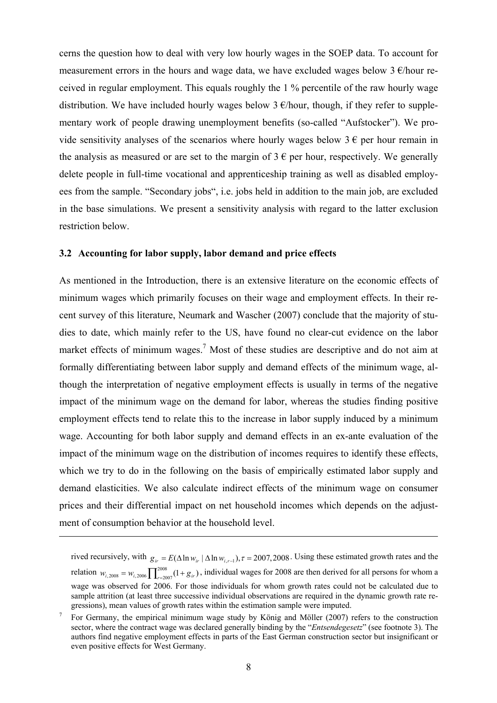cerns the question how to deal with very low hourly wages in the SOEP data. To account for measurement errors in the hours and wage data, we have excluded wages below 3  $\epsilon$ /hour received in regular employment. This equals roughly the 1 % percentile of the raw hourly wage distribution. We have included hourly wages below  $3 \epsilon$ /hour, though, if they refer to supplementary work of people drawing unemployment benefits (so-called "Aufstocker"). We provide sensitivity analyses of the scenarios where hourly wages below  $3 \epsilon$  per hour remain in the analysis as measured or are set to the margin of  $3 \in \mathfrak{p}$  er hour, respectively. We generally delete people in full-time vocational and apprenticeship training as well as disabled employees from the sample. "Secondary jobs", i.e. jobs held in addition to the main job, are excluded in the base simulations. We present a sensitivity analysis with regard to the latter exclusion restriction below.

#### **3.2 Accounting for labor supply, labor demand and price effects**

 $\overline{a}$ 

As mentioned in the Introduction, there is an extensive literature on the economic effects of minimum wages which primarily focuses on their wage and employment effects. In their recent survey of this literature, Neumark and Wascher (2007) conclude that the majority of studies to date, which mainly refer to the US, have found no clear-cut evidence on the labor market effects of minimum wages.<sup>7</sup> Most of these studies are descriptive and do not aim at formally differentiating between labor supply and demand effects of the minimum wage, although the interpretation of negative employment effects is usually in terms of the negative impact of the minimum wage on the demand for labor, whereas the studies finding positive employment effects tend to relate this to the increase in labor supply induced by a minimum wage. Accounting for both labor supply and demand effects in an ex-ante evaluation of the impact of the minimum wage on the distribution of incomes requires to identify these effects, which we try to do in the following on the basis of empirically estimated labor supply and demand elasticities. We also calculate indirect effects of the minimum wage on consumer prices and their differential impact on net household incomes which depends on the adjustment of consumption behavior at the household level.

rived recursively, with  $g_{ir} = E(\Delta \ln w_{ir} | \Delta \ln w_{i,r-1})$ ,  $\tau = 2007,2008$ . Using these estimated growth rates and the relation  $w_{i,2008} = w_{i,2006} \prod_{r=2007}^{2008} (1 + g_{ir})$ , individual wages for 2008 are then derived for all persons for whom a wage was observed for 2006. For those individuals for whom growth rates could not be calculated due to sample attrition (at least three successive individual observations are required in the dynamic growth rate regressions), mean values of growth rates within the estimation sample were imputed. 7

For Germany, the empirical minimum wage study by König and Möller (2007) refers to the construction sector, where the contract wage was declared generally binding by the "*Entsendegesetz*" (see footnote 3). The authors find negative employment effects in parts of the East German construction sector but insignificant or even positive effects for West Germany.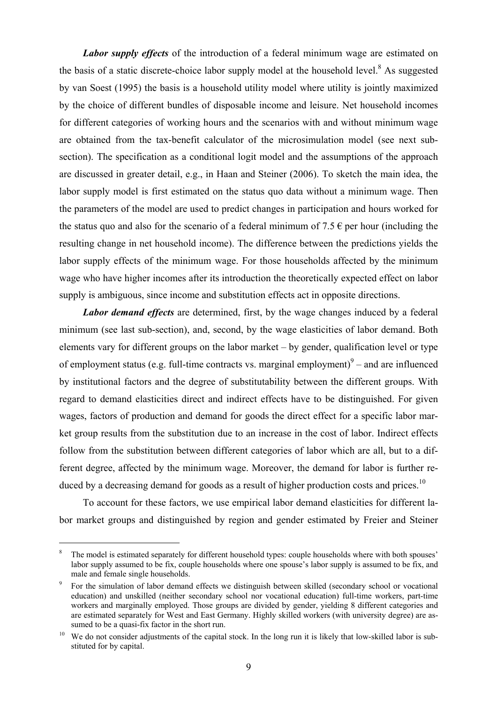*Labor supply effects* of the introduction of a federal minimum wage are estimated on the basis of a static discrete-choice labor supply model at the household level. $8$  As suggested by van Soest (1995) the basis is a household utility model where utility is jointly maximized by the choice of different bundles of disposable income and leisure. Net household incomes for different categories of working hours and the scenarios with and without minimum wage are obtained from the tax-benefit calculator of the microsimulation model (see next subsection). The specification as a conditional logit model and the assumptions of the approach are discussed in greater detail, e.g., in Haan and Steiner (2006). To sketch the main idea, the labor supply model is first estimated on the status quo data without a minimum wage. Then the parameters of the model are used to predict changes in participation and hours worked for the status quo and also for the scenario of a federal minimum of 7.5  $\epsilon$  per hour (including the resulting change in net household income). The difference between the predictions yields the labor supply effects of the minimum wage. For those households affected by the minimum wage who have higher incomes after its introduction the theoretically expected effect on labor supply is ambiguous, since income and substitution effects act in opposite directions.

*Labor demand effects* are determined, first, by the wage changes induced by a federal minimum (see last sub-section), and, second, by the wage elasticities of labor demand. Both elements vary for different groups on the labor market – by gender, qualification level or type of employment status (e.g. full-time contracts vs. marginal employment) $\degree$  – and are influenced by institutional factors and the degree of substitutability between the different groups. With regard to demand elasticities direct and indirect effects have to be distinguished. For given wages, factors of production and demand for goods the direct effect for a specific labor market group results from the substitution due to an increase in the cost of labor. Indirect effects follow from the substitution between different categories of labor which are all, but to a different degree, affected by the minimum wage. Moreover, the demand for labor is further reduced by a decreasing demand for goods as a result of higher production costs and prices.<sup>10</sup>

To account for these factors, we use empirical labor demand elasticities for different labor market groups and distinguished by region and gender estimated by Freier and Steiner

<sup>8</sup> The model is estimated separately for different household types: couple households where with both spouses' labor supply assumed to be fix, couple households where one spouse's labor supply is assumed to be fix, and male and female single households. 9

For the simulation of labor demand effects we distinguish between skilled (secondary school or vocational education) and unskilled (neither secondary school nor vocational education) full-time workers, part-time workers and marginally employed. Those groups are divided by gender, yielding 8 different categories and are estimated separately for West and East Germany. Highly skilled workers (with university degree) are assumed to be a quasi-fix factor in the short run.<br><sup>10</sup> We do not consider adjustments of the capital stock. In the long run it is likely that low-skilled labor is sub-

stituted for by capital.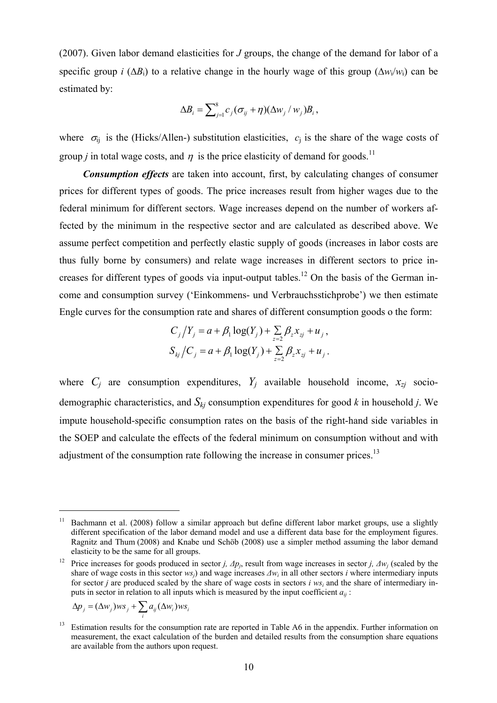(2007). Given labor demand elasticities for *J* groups, the change of the demand for labor of a specific group *i* ( $\Delta B_i$ ) to a relative change in the hourly wage of this group ( $\Delta w_i/w_i$ ) can be estimated by:

$$
\Delta B_i = \sum_{j=1}^8 c_j (\sigma_{ij} + \eta) (\Delta w_j / w_j) B_i,
$$

where  $\sigma_{ii}$  is the (Hicks/Allen-) substitution elasticities,  $c_i$  is the share of the wage costs of group *j* in total wage costs, and  $\eta$  is the price elasticity of demand for goods.<sup>11</sup>

*Consumption effects* are taken into account, first, by calculating changes of consumer prices for different types of goods. The price increases result from higher wages due to the federal minimum for different sectors. Wage increases depend on the number of workers affected by the minimum in the respective sector and are calculated as described above. We assume perfect competition and perfectly elastic supply of goods (increases in labor costs are thus fully borne by consumers) and relate wage increases in different sectors to price increases for different types of goods via input-output tables.<sup>12</sup> On the basis of the German income and consumption survey ('Einkommens- und Verbrauchsstichprobe') we then estimate Engle curves for the consumption rate and shares of different consumption goods o the form:

$$
C_j / Y_j = a + \beta_1 \log(Y_j) + \sum_{z=2}^{\infty} \beta_z x_{zj} + u_j,
$$
  

$$
S_{kj} / C_j = a + \beta_1 \log(Y_j) + \sum_{z=2}^{\infty} \beta_z x_{zj} + u_j.
$$

where  $C_i$  are consumption expenditures,  $Y_i$  available household income,  $x_{zi}$  sociodemographic characteristics, and  $S_{ki}$  consumption expenditures for good  $k$  in household  $j$ . We impute household-specific consumption rates on the basis of the right-hand side variables in the SOEP and calculate the effects of the federal minimum on consumption without and with adjustment of the consumption rate following the increase in consumer prices.<sup>13</sup>

$$
\Delta p_j = (\Delta w_j) w s_j + \sum_i a_{ij} (\Delta w_i) w s_i
$$

<sup>&</sup>lt;sup>11</sup> Bachmann et al. (2008) follow a similar approach but define different labor market groups, use a slightly different specification of the labor demand model and use a different data base for the employment figures. Ragnitz and Thum (2008) and Knabe und Schöb (2008) use a simpler method assuming the labor demand elasticity to be the same for all groups. 12 Price increases for goods produced in sector *j, <sup>∆</sup>pj*, result from wage increases in sector *j, <sup>∆</sup>wj* (scaled by the

share of wage costs in this sector *wsj*) and wage increases *∆wi* in all other sectors *i* where intermediary inputs for sector *j* are produced scaled by the share of wage costs in sectors *i ws<sub>i</sub>* and the share of intermediary inputs in sector in relation to all inputs which is measured by the input coefficient  $a_{ii}$ :

<sup>&</sup>lt;sup>13</sup> Estimation results for the consumption rate are reported in Table A6 in the appendix. Further information on measurement, the exact calculation of the burden and detailed results from the consumption share equations are available from the authors upon request.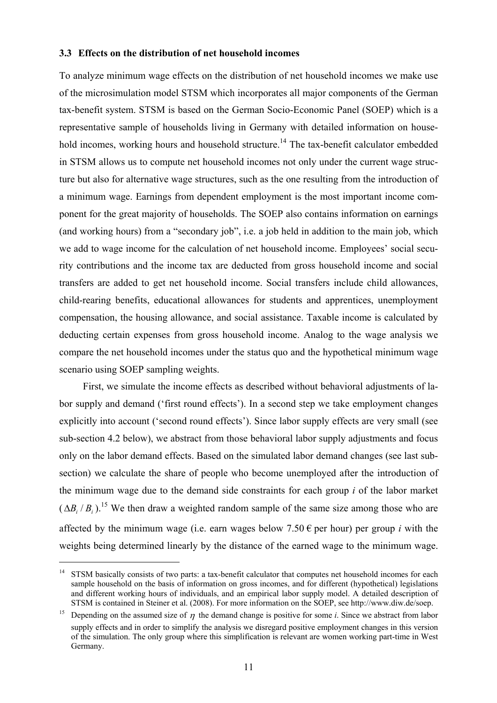#### **3.3 Effects on the distribution of net household incomes**

To analyze minimum wage effects on the distribution of net household incomes we make use of the microsimulation model STSM which incorporates all major components of the German tax-benefit system. STSM is based on the German Socio-Economic Panel (SOEP) which is a representative sample of households living in Germany with detailed information on household incomes, working hours and household structure.<sup>14</sup> The tax-benefit calculator embedded in STSM allows us to compute net household incomes not only under the current wage structure but also for alternative wage structures, such as the one resulting from the introduction of a minimum wage. Earnings from dependent employment is the most important income component for the great majority of households. The SOEP also contains information on earnings (and working hours) from a "secondary job", i.e. a job held in addition to the main job, which we add to wage income for the calculation of net household income. Employees' social security contributions and the income tax are deducted from gross household income and social transfers are added to get net household income. Social transfers include child allowances, child-rearing benefits, educational allowances for students and apprentices, unemployment compensation, the housing allowance, and social assistance. Taxable income is calculated by deducting certain expenses from gross household income. Analog to the wage analysis we compare the net household incomes under the status quo and the hypothetical minimum wage scenario using SOEP sampling weights.

First, we simulate the income effects as described without behavioral adjustments of labor supply and demand ('first round effects'). In a second step we take employment changes explicitly into account ('second round effects'). Since labor supply effects are very small (see sub-section 4.2 below), we abstract from those behavioral labor supply adjustments and focus only on the labor demand effects. Based on the simulated labor demand changes (see last subsection) we calculate the share of people who become unemployed after the introduction of the minimum wage due to the demand side constraints for each group *i* of the labor market  $(AB / B<sub>i</sub>)$ <sup>15</sup> We then draw a weighted random sample of the same size among those who are affected by the minimum wage (i.e. earn wages below  $7.50 \in$  per hour) per group *i* with the weights being determined linearly by the distance of the earned wage to the minimum wage.

<sup>&</sup>lt;sup>14</sup> STSM basically consists of two parts: a tax-benefit calculator that computes net household incomes for each sample household on the basis of information on gross incomes, and for different (hypothetical) legislations and different working hours of individuals, and an empirical labor supply model. A detailed description of STSM is contained in Steiner et al. (2008). For more information on the SOEP, see http://www.diw.de/soep.

<sup>&</sup>lt;sup>15</sup> Depending on the assumed size of  $\eta$  the demand change is positive for some *i*. Since we abstract from labor supply effects and in order to simplify the analysis we disregard positive employment changes in this version of the simulation. The only group where this simplification is relevant are women working part-time in West Germany.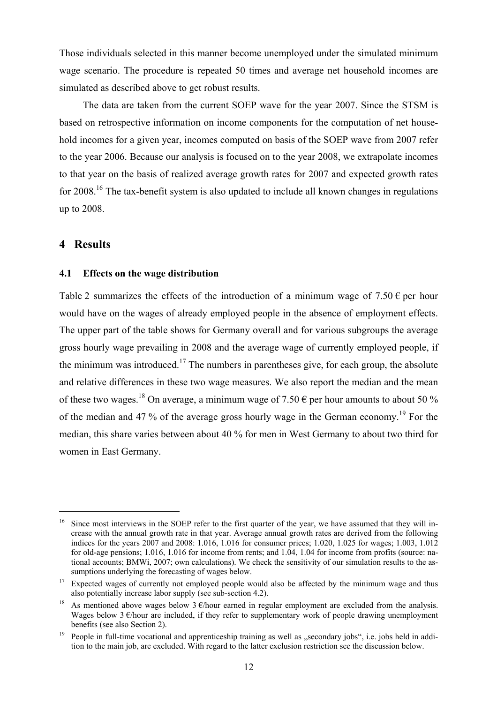Those individuals selected in this manner become unemployed under the simulated minimum wage scenario. The procedure is repeated 50 times and average net household incomes are simulated as described above to get robust results.

The data are taken from the current SOEP wave for the year 2007. Since the STSM is based on retrospective information on income components for the computation of net household incomes for a given year, incomes computed on basis of the SOEP wave from 2007 refer to the year 2006. Because our analysis is focused on to the year 2008, we extrapolate incomes to that year on the basis of realized average growth rates for 2007 and expected growth rates for 2008.<sup>16</sup> The tax-benefit system is also updated to include all known changes in regulations up to 2008.

#### **4 Results**

 $\overline{a}$ 

#### **4.1 Effects on the wage distribution**

Table 2 summarizes the effects of the introduction of a minimum wage of  $7.50 \in$  per hour would have on the wages of already employed people in the absence of employment effects. The upper part of the table shows for Germany overall and for various subgroups the average gross hourly wage prevailing in 2008 and the average wage of currently employed people, if the minimum was introduced.<sup>17</sup> The numbers in parentheses give, for each group, the absolute and relative differences in these two wage measures. We also report the median and the mean of these two wages.<sup>18</sup> On average, a minimum wage of 7.50  $\epsilon$  per hour amounts to about 50 % of the median and 47 % of the average gross hourly wage in the German economy.<sup>19</sup> For the median, this share varies between about 40 % for men in West Germany to about two third for women in East Germany.

Since most interviews in the SOEP refer to the first quarter of the year, we have assumed that they will increase with the annual growth rate in that year. Average annual growth rates are derived from the following indices for the years 2007 and 2008: 1.016, 1.016 for consumer prices; 1.020, 1.025 for wages; 1.003, 1.012 for old-age pensions; 1.016, 1.016 for income from rents; and 1.04, 1.04 for income from profits (source: national accounts; BMWi, 2007; own calculations). We check the sensitivity of our simulation results to the assumptions underlying the forecasting of wages below.<br><sup>17</sup> Expected wages of currently not employed people would also be affected by the minimum wage and thus

also potentially increase labor supply (see sub-section 4.2).<br><sup>18</sup> As mentioned above wages below 3  $\epsilon$ /hour earned in regular employment are excluded from the analysis.

Wages below 3  $\epsilon$ /hour are included, if they refer to supplementary work of people drawing unemployment benefits (see also Section 2).<br><sup>19</sup> People in full-time vocational and apprenticeship training as well as "secondary jobs", i.e. jobs held in addi-

tion to the main job, are excluded. With regard to the latter exclusion restriction see the discussion below.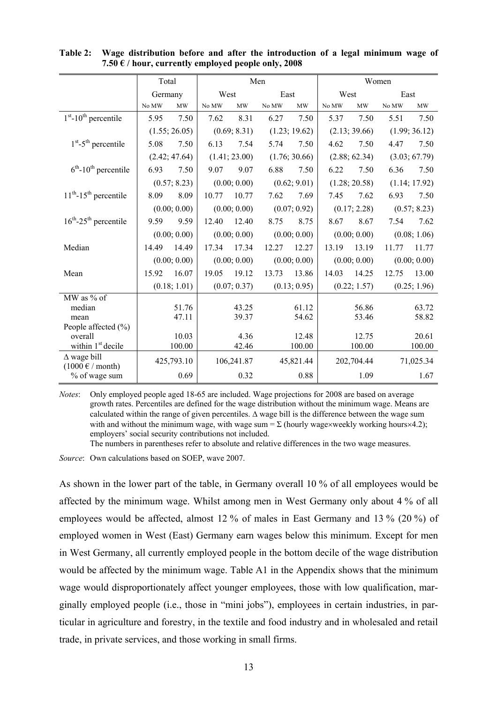|                                                                 | Total   |               |       |               | Men   |               |       |               | Women |               |
|-----------------------------------------------------------------|---------|---------------|-------|---------------|-------|---------------|-------|---------------|-------|---------------|
|                                                                 | Germany |               | West  |               | East  |               | West  |               | East  |               |
|                                                                 | No MW   | <b>MW</b>     | No MW | MW            | No MW | <b>MW</b>     | No MW | MW            | No MW | <b>MW</b>     |
| $1st$ -10 <sup>th</sup> percentile                              | 5.95    | 7.50          | 7.62  | 8.31          | 6.27  | 7.50          | 5.37  | 7.50          | 5.51  | 7.50          |
|                                                                 |         | (1.55; 26.05) |       | (0.69; 8.31)  |       | (1.23; 19.62) |       | (2.13; 39.66) |       | (1.99; 36.12) |
| $1st - 5th$ percentile                                          | 5.08    | 7.50          | 6.13  | 7.54          | 5.74  | 7.50          | 4.62  | 7.50          | 4.47  | 7.50          |
|                                                                 |         | (2.42; 47.64) |       | (1.41; 23.00) |       | (1.76; 30.66) |       | (2.88; 62.34) |       | (3.03; 67.79) |
| $6th$ -10 <sup>th</sup> percentile                              | 6.93    | 7.50          | 9.07  | 9.07          | 6.88  | 7.50          | 6.22  | 7.50          | 6.36  | 7.50          |
|                                                                 |         | (0.57; 8.23)  |       | (0.00; 0.00)  |       | (0.62; 9.01)  |       | (1.28; 20.58) |       | (1.14; 17.92) |
| $11th$ -15 <sup>th</sup> percentile                             | 8.09    | 8.09          | 10.77 | 10.77         | 7.62  | 7.69          | 7.45  | 7.62          | 6.93  | 7.50          |
|                                                                 |         | (0.00; 0.00)  |       | (0.00; 0.00)  |       | (0.07; 0.92)  |       | (0.17; 2.28)  |       | (0.57; 8.23)  |
| $16^{th}$ -25 <sup>th</sup> percentile                          | 9.59    | 9.59          | 12.40 | 12.40         | 8.75  | 8.75          | 8.67  | 8.67          | 7.54  | 7.62          |
|                                                                 |         | (0.00; 0.00)  |       | (0.00; 0.00)  |       | (0.00; 0.00)  |       | (0.00; 0.00)  |       | (0.08; 1.06)  |
| Median                                                          | 14.49   | 14.49         | 17.34 | 17.34         | 12.27 | 12.27         | 13.19 | 13.19         | 11.77 | 11.77         |
|                                                                 |         | (0.00; 0.00)  |       | (0.00; 0.00)  |       | (0.00; 0.00)  |       | (0.00; 0.00)  |       | (0.00; 0.00)  |
| Mean                                                            | 15.92   | 16.07         | 19.05 | 19.12         | 13.73 | 13.86         | 14.03 | 14.25         | 12.75 | 13.00         |
|                                                                 |         | (0.18; 1.01)  |       | (0.07; 0.37)  |       | (0.13; 0.95)  |       | (0.22; 1.57)  |       | (0.25; 1.96)  |
| MW as % of                                                      |         |               |       |               |       |               |       |               |       |               |
| median                                                          |         | 51.76         |       | 43.25         |       | 61.12         |       | 56.86         |       | 63.72         |
| mean                                                            |         | 47.11         |       | 39.37         |       | 54.62         |       | 53.46         |       | 58.82         |
| People affected $(\% )$                                         |         |               |       |               |       |               |       |               |       |               |
| overall                                                         |         | 10.03         |       | 4.36          |       | 12.48         |       | 12.75         |       | 20.61         |
| within 1 <sup>st</sup> decile                                   |         | 100.00        |       | 42.46         |       | 100.00        |       | 100.00        |       | 100.00        |
| $\Delta$ wage bill<br>$(1000 \text{ }\epsilon \text{ / month})$ |         | 425,793.10    |       | 106,241.87    |       | 45,821.44     |       | 202,704.44    |       | 71,025.34     |
| % of wage sum                                                   |         | 0.69          |       | 0.32          |       | 0.88          |       | 1.09          |       | 1.67          |

**Table 2: Wage distribution before and after the introduction of a legal minimum wage of 7.50 € / hour, currently employed people only, 2008** 

*Notes*: Only employed people aged 18-65 are included. Wage projections for 2008 are based on average growth rates. Percentiles are defined for the wage distribution without the minimum wage. Means are calculated within the range of given percentiles. ∆ wage bill is the difference between the wage sum with and without the minimum wage, with wage sum =  $\Sigma$  (hourly wage×weekly working hours×4.2); employers' social security contributions not included.

The numbers in parentheses refer to absolute and relative differences in the two wage measures.

*Source*: Own calculations based on SOEP, wave 2007.

As shown in the lower part of the table, in Germany overall 10 % of all employees would be affected by the minimum wage. Whilst among men in West Germany only about 4 % of all employees would be affected, almost 12 % of males in East Germany and 13 % (20 %) of employed women in West (East) Germany earn wages below this minimum. Except for men in West Germany, all currently employed people in the bottom decile of the wage distribution would be affected by the minimum wage. Table A1 in the Appendix shows that the minimum wage would disproportionately affect younger employees, those with low qualification, marginally employed people (i.e., those in "mini jobs"), employees in certain industries, in particular in agriculture and forestry, in the textile and food industry and in wholesaled and retail trade, in private services, and those working in small firms.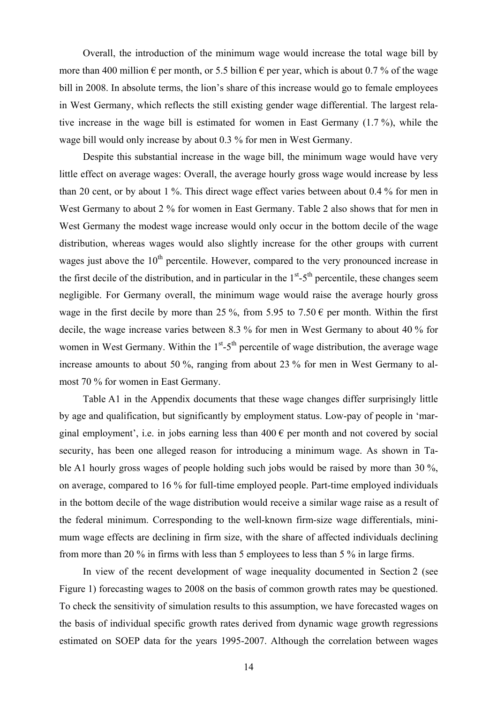Overall, the introduction of the minimum wage would increase the total wage bill by more than 400 million  $\epsilon$  per month, or 5.5 billion  $\epsilon$  per year, which is about 0.7 % of the wage bill in 2008. In absolute terms, the lion's share of this increase would go to female employees in West Germany, which reflects the still existing gender wage differential. The largest relative increase in the wage bill is estimated for women in East Germany (1.7 %), while the wage bill would only increase by about 0.3 % for men in West Germany.

Despite this substantial increase in the wage bill, the minimum wage would have very little effect on average wages: Overall, the average hourly gross wage would increase by less than 20 cent, or by about 1 %. This direct wage effect varies between about 0.4 % for men in West Germany to about 2 % for women in East Germany. Table 2 also shows that for men in West Germany the modest wage increase would only occur in the bottom decile of the wage distribution, whereas wages would also slightly increase for the other groups with current wages just above the  $10<sup>th</sup>$  percentile. However, compared to the very pronounced increase in the first decile of the distribution, and in particular in the  $1<sup>st</sup>$ -5<sup>th</sup> percentile, these changes seem negligible. For Germany overall, the minimum wage would raise the average hourly gross wage in the first decile by more than 25 %, from 5.95 to 7.50  $\epsilon$  per month. Within the first decile, the wage increase varies between 8.3 % for men in West Germany to about 40 % for women in West Germany. Within the  $1<sup>st</sup> - 5<sup>th</sup>$  percentile of wage distribution, the average wage increase amounts to about 50 %, ranging from about 23 % for men in West Germany to almost 70 % for women in East Germany.

Table A1 in the Appendix documents that these wage changes differ surprisingly little by age and qualification, but significantly by employment status. Low-pay of people in 'marginal employment', i.e. in jobs earning less than  $400 \in \text{per month}$  and not covered by social security, has been one alleged reason for introducing a minimum wage. As shown in Table A1 hourly gross wages of people holding such jobs would be raised by more than 30 %, on average, compared to 16 % for full-time employed people. Part-time employed individuals in the bottom decile of the wage distribution would receive a similar wage raise as a result of the federal minimum. Corresponding to the well-known firm-size wage differentials, minimum wage effects are declining in firm size, with the share of affected individuals declining from more than 20 % in firms with less than 5 employees to less than 5 % in large firms.

In view of the recent development of wage inequality documented in Section 2 (see Figure 1) forecasting wages to 2008 on the basis of common growth rates may be questioned. To check the sensitivity of simulation results to this assumption, we have forecasted wages on the basis of individual specific growth rates derived from dynamic wage growth regressions estimated on SOEP data for the years 1995-2007. Although the correlation between wages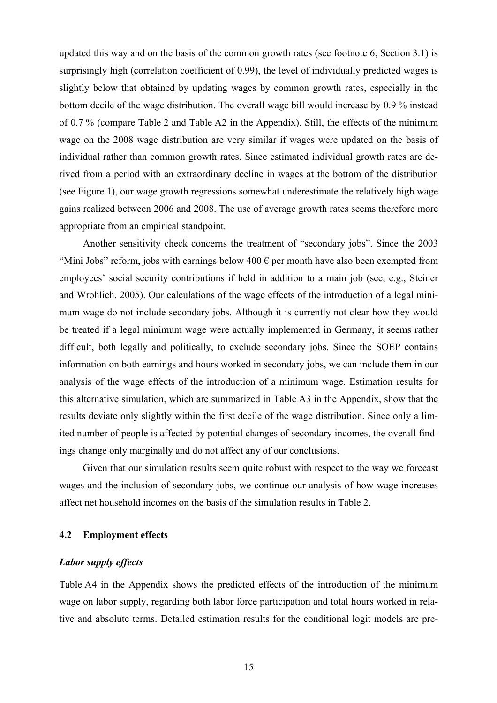updated this way and on the basis of the common growth rates (see footnote 6, Section 3.1) is surprisingly high (correlation coefficient of 0.99), the level of individually predicted wages is slightly below that obtained by updating wages by common growth rates, especially in the bottom decile of the wage distribution. The overall wage bill would increase by 0.9 % instead of 0.7 % (compare Table 2 and Table A2 in the Appendix). Still, the effects of the minimum wage on the 2008 wage distribution are very similar if wages were updated on the basis of individual rather than common growth rates. Since estimated individual growth rates are derived from a period with an extraordinary decline in wages at the bottom of the distribution (see Figure 1), our wage growth regressions somewhat underestimate the relatively high wage gains realized between 2006 and 2008. The use of average growth rates seems therefore more appropriate from an empirical standpoint.

Another sensitivity check concerns the treatment of "secondary jobs". Since the 2003 "Mini Jobs" reform, jobs with earnings below  $400 \in \text{per month}$  have also been exempted from employees' social security contributions if held in addition to a main job (see, e.g., Steiner and Wrohlich, 2005). Our calculations of the wage effects of the introduction of a legal minimum wage do not include secondary jobs. Although it is currently not clear how they would be treated if a legal minimum wage were actually implemented in Germany, it seems rather difficult, both legally and politically, to exclude secondary jobs. Since the SOEP contains information on both earnings and hours worked in secondary jobs, we can include them in our analysis of the wage effects of the introduction of a minimum wage. Estimation results for this alternative simulation, which are summarized in Table A3 in the Appendix, show that the results deviate only slightly within the first decile of the wage distribution. Since only a limited number of people is affected by potential changes of secondary incomes, the overall findings change only marginally and do not affect any of our conclusions.

Given that our simulation results seem quite robust with respect to the way we forecast wages and the inclusion of secondary jobs, we continue our analysis of how wage increases affect net household incomes on the basis of the simulation results in Table 2.

#### **4.2 Employment effects**

#### *Labor supply effects*

Table A4 in the Appendix shows the predicted effects of the introduction of the minimum wage on labor supply, regarding both labor force participation and total hours worked in relative and absolute terms. Detailed estimation results for the conditional logit models are pre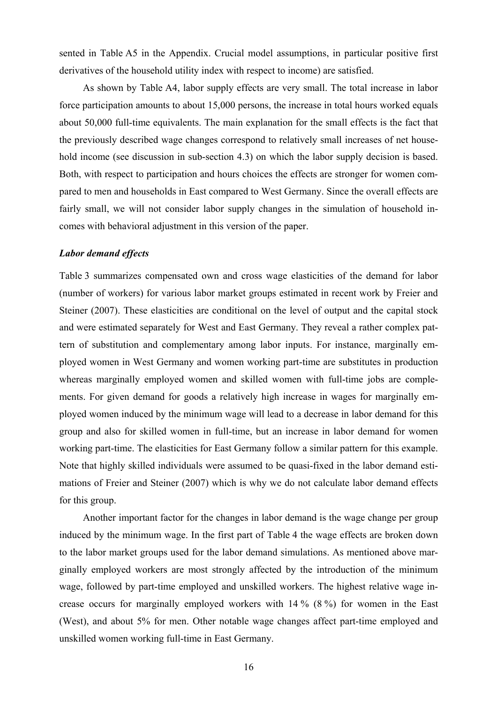sented in Table A5 in the Appendix. Crucial model assumptions, in particular positive first derivatives of the household utility index with respect to income) are satisfied.

As shown by Table A4, labor supply effects are very small. The total increase in labor force participation amounts to about 15,000 persons, the increase in total hours worked equals about 50,000 full-time equivalents. The main explanation for the small effects is the fact that the previously described wage changes correspond to relatively small increases of net household income (see discussion in sub-section 4.3) on which the labor supply decision is based. Both, with respect to participation and hours choices the effects are stronger for women compared to men and households in East compared to West Germany. Since the overall effects are fairly small, we will not consider labor supply changes in the simulation of household incomes with behavioral adjustment in this version of the paper.

#### *Labor demand effects*

Table 3 summarizes compensated own and cross wage elasticities of the demand for labor (number of workers) for various labor market groups estimated in recent work by Freier and Steiner (2007). These elasticities are conditional on the level of output and the capital stock and were estimated separately for West and East Germany. They reveal a rather complex pattern of substitution and complementary among labor inputs. For instance, marginally employed women in West Germany and women working part-time are substitutes in production whereas marginally employed women and skilled women with full-time jobs are complements. For given demand for goods a relatively high increase in wages for marginally employed women induced by the minimum wage will lead to a decrease in labor demand for this group and also for skilled women in full-time, but an increase in labor demand for women working part-time. The elasticities for East Germany follow a similar pattern for this example. Note that highly skilled individuals were assumed to be quasi-fixed in the labor demand estimations of Freier and Steiner (2007) which is why we do not calculate labor demand effects for this group.

Another important factor for the changes in labor demand is the wage change per group induced by the minimum wage. In the first part of Table 4 the wage effects are broken down to the labor market groups used for the labor demand simulations. As mentioned above marginally employed workers are most strongly affected by the introduction of the minimum wage, followed by part-time employed and unskilled workers. The highest relative wage increase occurs for marginally employed workers with 14 % (8 %) for women in the East (West), and about 5% for men. Other notable wage changes affect part-time employed and unskilled women working full-time in East Germany.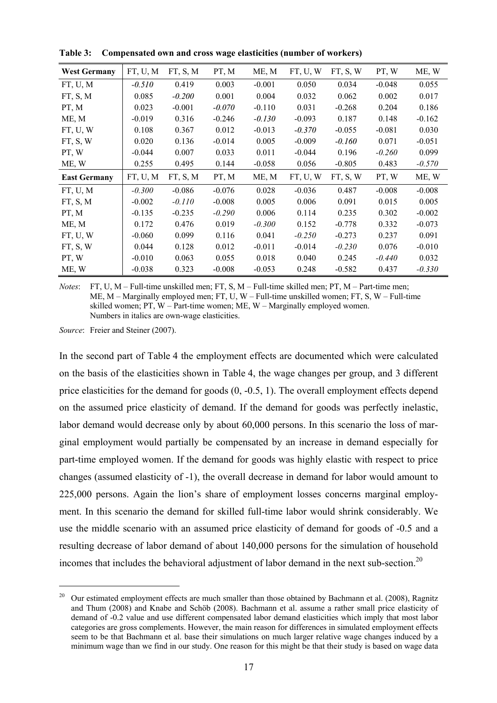| <b>West Germany</b> | FT, U, M | FT, S, M | PT, M    | ME, M    | FT, U, W | FT, S, W | PT, W    | ME, W    |
|---------------------|----------|----------|----------|----------|----------|----------|----------|----------|
| FT, U, M            | $-0.510$ | 0.419    | 0.003    | $-0.001$ | 0.050    | 0.034    | $-0.048$ | 0.055    |
| FT, S, M            | 0.085    | $-0.200$ | 0.001    | 0.004    | 0.032    | 0.062    | 0.002    | 0.017    |
| PT, M               | 0.023    | $-0.001$ | $-0.070$ | $-0.110$ | 0.031    | $-0.268$ | 0.204    | 0.186    |
| ME, M               | $-0.019$ | 0.316    | $-0.246$ | $-0.130$ | $-0.093$ | 0.187    | 0.148    | $-0.162$ |
| FT, U, W            | 0.108    | 0.367    | 0.012    | $-0.013$ | $-0.370$ | $-0.055$ | $-0.081$ | 0.030    |
| FT, S, W            | 0.020    | 0.136    | $-0.014$ | 0.005    | $-0.009$ | $-0.160$ | 0.071    | $-0.051$ |
| PT, W               | $-0.044$ | 0.007    | 0.033    | 0.011    | $-0.044$ | 0.196    | $-0.260$ | 0.099    |
| ME, W               | 0.255    | 0.495    | 0.144    | $-0.058$ | 0.056    | $-0.805$ | 0.483    | $-0.570$ |
| <b>East Germany</b> | FT, U, M | FT, S, M | PT, M    | ME, M    | FT, U, W | FT, S, W | PT, W    | ME, W    |
| FT, U, M            | $-0.300$ | $-0.086$ | $-0.076$ | 0.028    | $-0.036$ | 0.487    | $-0.008$ | $-0.008$ |
| FT, S, M            | $-0.002$ | $-0.110$ | $-0.008$ | 0.005    | 0.006    | 0.091    | 0.015    | 0.005    |
| PT, M               | $-0.135$ | $-0.235$ | $-0.290$ | 0.006    | 0.114    | 0.235    | 0.302    | $-0.002$ |
| ME, M               | 0.172    | 0.476    | 0.019    | $-0.300$ | 0.152    | $-0.778$ | 0.332    | $-0.073$ |
| FT, U, W            | $-0.060$ | 0.099    | 0.116    | 0.041    | $-0.250$ | $-0.273$ | 0.237    | 0.091    |
| FT, S, W            | 0.044    | 0.128    | 0.012    | $-0.011$ | $-0.014$ | $-0.230$ | 0.076    | $-0.010$ |
| PT, W               | $-0.010$ | 0.063    | 0.055    | 0.018    | 0.040    | 0.245    | $-0.440$ | 0.032    |
| ME, W               | $-0.038$ | 0.323    | $-0.008$ | $-0.053$ | 0.248    | $-0.582$ | 0.437    | $-0.330$ |

**Table 3: Compensated own and cross wage elasticities (number of workers)** 

*Notes*: FT, U, M – Full-time unskilled men; FT, S, M – Full-time skilled men; PT, M – Part-time men; ME, M – Marginally employed men; FT, U, W – Full-time unskilled women; FT, S, W – Full-time skilled women; PT, W – Part-time women; ME, W – Marginally employed women. Numbers in italics are own-wage elasticities.

*Source*: Freier and Steiner (2007).

 $\overline{a}$ 

In the second part of Table 4 the employment effects are documented which were calculated on the basis of the elasticities shown in Table 4, the wage changes per group, and 3 different price elasticities for the demand for goods (0, -0.5, 1). The overall employment effects depend on the assumed price elasticity of demand. If the demand for goods was perfectly inelastic, labor demand would decrease only by about 60,000 persons. In this scenario the loss of marginal employment would partially be compensated by an increase in demand especially for part-time employed women. If the demand for goods was highly elastic with respect to price changes (assumed elasticity of -1), the overall decrease in demand for labor would amount to 225,000 persons. Again the lion's share of employment losses concerns marginal employment. In this scenario the demand for skilled full-time labor would shrink considerably. We use the middle scenario with an assumed price elasticity of demand for goods of -0.5 and a resulting decrease of labor demand of about 140,000 persons for the simulation of household incomes that includes the behavioral adjustment of labor demand in the next sub-section.<sup>20</sup>

<sup>20</sup> Our estimated employment effects are much smaller than those obtained by Bachmann et al. (2008), Ragnitz and Thum (2008) and Knabe and Schöb (2008). Bachmann et al. assume a rather small price elasticity of demand of -0.2 value and use different compensated labor demand elasticities which imply that most labor categories are gross complements. However, the main reason for differences in simulated employment effects seem to be that Bachmann et al. base their simulations on much larger relative wage changes induced by a minimum wage than we find in our study. One reason for this might be that their study is based on wage data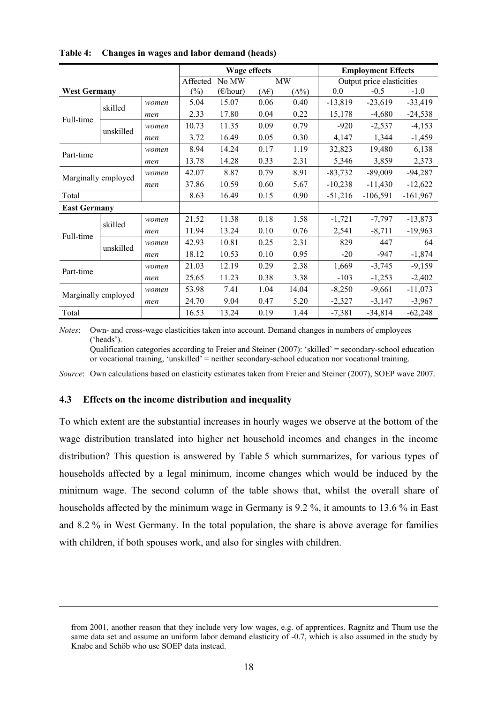|                     |                     |       |          | Wage effects             |      |              |           | <b>Employment Effects</b> |            |
|---------------------|---------------------|-------|----------|--------------------------|------|--------------|-----------|---------------------------|------------|
|                     |                     |       | Affected | No MW                    |      | <b>MW</b>    |           | Output price elasticities |            |
| <b>West Germany</b> |                     |       | $(\%)$   | $(\epsilon/\text{hour})$ | (∆€) | $(\Delta\%)$ | 0.0       | $-0.5$                    | $-1.0$     |
|                     | skilled             | women | 5.04     | 15.07                    | 0.06 | 0.40         | $-13,819$ | $-23,619$                 | $-33,419$  |
| Full-time           |                     | men   | 2.33     | 17.80                    | 0.04 | 0.22         | 15,178    | $-4,680$                  | $-24,538$  |
|                     | unskilled           | women | 10.73    | 11.35                    | 0.09 | 0.79         | $-920$    | $-2,537$                  | $-4,153$   |
|                     |                     | men   | 3.72     | 16.49                    | 0.05 | 0.30         | 4,147     | 1,344                     | $-1,459$   |
| Part-time           |                     | women | 8.94     | 14.24                    | 0.17 | 1.19         | 32,823    | 19,480                    | 6,138      |
|                     |                     | men   | 13.78    | 14.28                    | 0.33 | 2.31         | 5,346     | 3,859                     | 2,373      |
| Marginally employed |                     | women | 42.07    | 8.87                     | 0.79 | 8.91         | $-83,732$ | $-89,009$                 | $-94,287$  |
|                     |                     | men   | 37.86    | 10.59                    | 0.60 | 5.67         | $-10,238$ | $-11,430$                 | $-12,622$  |
| Total               |                     |       | 8.63     | 16.49                    | 0.15 | 0.90         | $-51,216$ | $-106,591$                | $-161,967$ |
| <b>East Germany</b> |                     |       |          |                          |      |              |           |                           |            |
|                     | skilled             | women | 21.52    | 11.38                    | 0.18 | 1.58         | $-1,721$  | $-7,797$                  | $-13,873$  |
| Full-time           |                     | men   | 11.94    | 13.24                    | 0.10 | 0.76         | 2,541     | $-8,711$                  | $-19,963$  |
|                     | unskilled           | women | 42.93    | 10.81                    | 0.25 | 2.31         | 829       | 447                       | 64         |
|                     |                     | men   | 18.12    | 10.53                    | 0.10 | 0.95         | $-20$     | -947                      | $-1,874$   |
| Part-time           |                     | women | 21.03    | 12.19                    | 0.29 | 2.38         | 1,669     | $-3,745$                  | $-9,159$   |
|                     |                     | men   | 25.65    | 11.23                    | 0.38 | 3.38         | $-103$    | $-1,253$                  | $-2,402$   |
|                     |                     | women | 53.98    | 7.41                     | 1.04 | 14.04        | $-8,250$  | $-9,661$                  | $-11,073$  |
|                     | Marginally employed |       | 24.70    | 9.04                     | 0.47 | 5.20         | $-2,327$  | $-3,147$                  | $-3,967$   |
| Total               |                     |       | 16.53    | 13.24                    | 0.19 | 1.44         | $-7,381$  | $-34,814$                 | $-62,248$  |

**Table 4: Changes in wages and labor demand (heads)** 

*Notes*: Own- and cross-wage elasticities taken into account. Demand changes in numbers of employees ('heads').

Qualification categories according to Freier and Steiner (2007): 'skilled' = secondary-school education or vocational training, 'unskilled' = neither secondary-school education nor vocational training.

*Source*: Own calculations based on elasticity estimates taken from Freier and Steiner (2007), SOEP wave 2007.

#### **4.3 Effects on the income distribution and inequality**

 $\overline{a}$ 

To which extent are the substantial increases in hourly wages we observe at the bottom of the wage distribution translated into higher net household incomes and changes in the income distribution? This question is answered by Table 5 which summarizes, for various types of households affected by a legal minimum, income changes which would be induced by the minimum wage. The second column of the table shows that, whilst the overall share of households affected by the minimum wage in Germany is 9.2 %, it amounts to 13.6 % in East and 8.2 % in West Germany. In the total population, the share is above average for families with children, if both spouses work, and also for singles with children.

from 2001, another reason that they include very low wages, e.g. of apprentices. Ragnitz and Thum use the same data set and assume an uniform labor demand elasticity of -0.7, which is also assumed in the study by Knabe and Schöb who use SOEP data instead.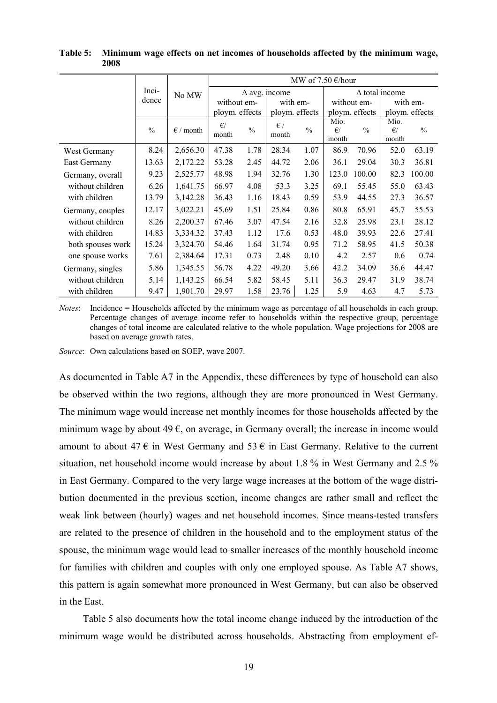|                   |               |                    |                       |                                  |                       | MW of 7.50 $\epsilon$ /hour |                               |                |                       |               |
|-------------------|---------------|--------------------|-----------------------|----------------------------------|-----------------------|-----------------------------|-------------------------------|----------------|-----------------------|---------------|
|                   | Inci-         | No MW              |                       |                                  | $\Delta$ avg. income  |                             |                               |                | $\Delta$ total income |               |
|                   | dence         |                    | without em-           |                                  | with em-              |                             | without em-                   |                | with em-              |               |
|                   |               |                    |                       | ploym. effects<br>ploym. effects |                       | ploym. effects              |                               | ploym. effects |                       |               |
|                   | $\frac{0}{0}$ | $\epsilon$ / month | $\epsilon$ /<br>month | $\frac{0}{0}$                    | $\epsilon$ /<br>month | $\frac{0}{0}$               | Mio.<br>$\epsilon$ /<br>month | $\frac{0}{0}$  | Mio.<br>€<br>month    | $\frac{0}{0}$ |
| West Germany      | 8.24          | 2,656.30           | 47.38                 | 1.78                             | 28.34                 | 1.07                        | 86.9                          | 70.96          | 52.0                  | 63.19         |
| East Germany      | 13.63         | 2,172.22           | 53.28                 | 2.45                             | 44.72                 | 2.06                        | 36.1                          | 29.04          | 30.3                  | 36.81         |
| Germany, overall  | 9.23          | 2,525.77           | 48.98                 | 1.94                             | 32.76                 | 1.30                        | 123.0                         | 100.00         | 82.3                  | 100.00        |
| without children  | 6.26          | 1,641.75           | 66.97                 | 4.08                             | 53.3                  | 3.25                        | 69.1                          | 55.45          | 55.0                  | 63.43         |
| with children     | 13.79         | 3,142.28           | 36.43                 | 1.16                             | 18.43                 | 0.59                        | 53.9                          | 44.55          | 27.3                  | 36.57         |
| Germany, couples  | 12.17         | 3,022.21           | 45.69                 | 1.51                             | 25.84                 | 0.86                        | 80.8                          | 65.91          | 45.7                  | 55.53         |
| without children  | 8.26          | 2,200.37           | 67.46                 | 3.07                             | 47.54                 | 2.16                        | 32.8                          | 25.98          | 23.1                  | 28.12         |
| with children     | 14.83         | 3,334.32           | 37.43                 | 1.12                             | 17.6                  | 0.53                        | 48.0                          | 39.93          | 22.6                  | 27.41         |
| both spouses work | 15.24         | 3,324.70           | 54.46                 | 1.64                             | 31.74                 | 0.95                        | 71.2                          | 58.95          | 41.5                  | 50.38         |
| one spouse works  | 7.61          | 2,384.64           | 17.31                 | 0.73                             | 2.48                  | 0.10                        | 4.2                           | 2.57           | 0.6                   | 0.74          |
| Germany, singles  | 5.86          | 1,345.55           | 56.78                 | 4.22                             | 49.20                 | 3.66                        | 42.2                          | 34.09          | 36.6                  | 44.47         |
| without children  | 5.14          | 1,143.25           | 66.54                 | 5.82                             | 58.45                 | 5.11                        | 36.3                          | 29.47          | 31.9                  | 38.74         |
| with children     | 9.47          | 1,901.70           | 29.97                 | 1.58                             | 23.76                 | 1.25                        | 5.9                           | 4.63           | 4.7                   | 5.73          |

**Table 5: Minimum wage effects on net incomes of households affected by the minimum wage, 2008** 

*Notes*: Incidence = Households affected by the minimum wage as percentage of all households in each group. Percentage changes of average income refer to households within the respective group, percentage changes of total income are calculated relative to the whole population. Wage projections for 2008 are based on average growth rates.

*Source*: Own calculations based on SOEP, wave 2007.

As documented in Table A7 in the Appendix, these differences by type of household can also be observed within the two regions, although they are more pronounced in West Germany. The minimum wage would increase net monthly incomes for those households affected by the minimum wage by about 49  $\epsilon$ , on average, in Germany overall; the increase in income would amount to about 47  $\epsilon$  in West Germany and 53  $\epsilon$  in East Germany. Relative to the current situation, net household income would increase by about 1.8 % in West Germany and 2.5 % in East Germany. Compared to the very large wage increases at the bottom of the wage distribution documented in the previous section, income changes are rather small and reflect the weak link between (hourly) wages and net household incomes. Since means-tested transfers are related to the presence of children in the household and to the employment status of the spouse, the minimum wage would lead to smaller increases of the monthly household income for families with children and couples with only one employed spouse. As Table A7 shows, this pattern is again somewhat more pronounced in West Germany, but can also be observed in the East.

Table 5 also documents how the total income change induced by the introduction of the minimum wage would be distributed across households. Abstracting from employment ef-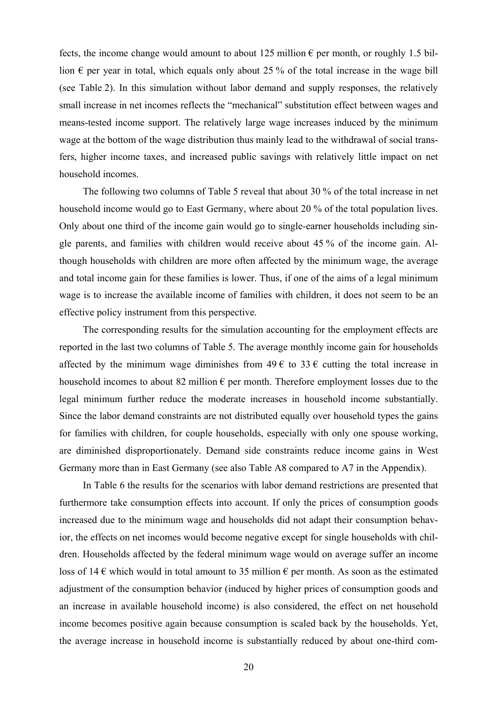fects, the income change would amount to about 125 million  $\epsilon$  per month, or roughly 1.5 billion  $\epsilon$  per year in total, which equals only about 25 % of the total increase in the wage bill (see Table 2). In this simulation without labor demand and supply responses, the relatively small increase in net incomes reflects the "mechanical" substitution effect between wages and means-tested income support. The relatively large wage increases induced by the minimum wage at the bottom of the wage distribution thus mainly lead to the withdrawal of social transfers, higher income taxes, and increased public savings with relatively little impact on net household incomes.

The following two columns of Table 5 reveal that about 30 % of the total increase in net household income would go to East Germany, where about 20 % of the total population lives. Only about one third of the income gain would go to single-earner households including single parents, and families with children would receive about 45 % of the income gain. Although households with children are more often affected by the minimum wage, the average and total income gain for these families is lower. Thus, if one of the aims of a legal minimum wage is to increase the available income of families with children, it does not seem to be an effective policy instrument from this perspective.

The corresponding results for the simulation accounting for the employment effects are reported in the last two columns of Table 5. The average monthly income gain for households affected by the minimum wage diminishes from  $49 \in \mathfrak{t}$  to  $33 \in \mathfrak{c}$  cutting the total increase in household incomes to about 82 million  $\epsilon$  per month. Therefore employment losses due to the legal minimum further reduce the moderate increases in household income substantially. Since the labor demand constraints are not distributed equally over household types the gains for families with children, for couple households, especially with only one spouse working, are diminished disproportionately. Demand side constraints reduce income gains in West Germany more than in East Germany (see also Table A8 compared to A7 in the Appendix).

In Table 6 the results for the scenarios with labor demand restrictions are presented that furthermore take consumption effects into account. If only the prices of consumption goods increased due to the minimum wage and households did not adapt their consumption behavior, the effects on net incomes would become negative except for single households with children. Households affected by the federal minimum wage would on average suffer an income loss of 14  $\epsilon$  which would in total amount to 35 million  $\epsilon$  per month. As soon as the estimated adjustment of the consumption behavior (induced by higher prices of consumption goods and an increase in available household income) is also considered, the effect on net household income becomes positive again because consumption is scaled back by the households. Yet, the average increase in household income is substantially reduced by about one-third com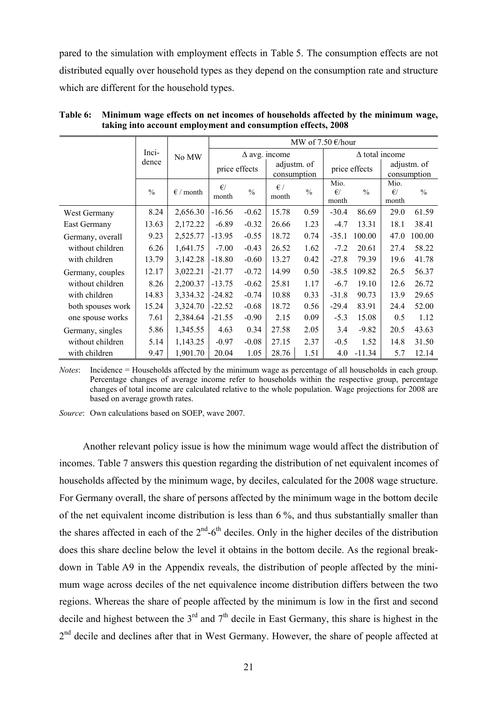pared to the simulation with employment effects in Table 5. The consumption effects are not distributed equally over household types as they depend on the consumption rate and structure which are different for the household types.

|                   |               |                    |                       |                                             |                       | MW of $7.50 \text{ } \in$ /hour |                               |                            |                               |               |
|-------------------|---------------|--------------------|-----------------------|---------------------------------------------|-----------------------|---------------------------------|-------------------------------|----------------------------|-------------------------------|---------------|
|                   | Inci-         | No MW              |                       |                                             | $\Delta$ avg. income  |                                 |                               |                            | $\Delta$ total income         |               |
|                   | dence         |                    |                       | adjustm. of<br>price effects<br>consumption |                       |                                 | price effects                 | adjustm. of<br>consumption |                               |               |
|                   | $\frac{0}{0}$ | $\epsilon$ / month | $\epsilon$ /<br>month | $\frac{0}{0}$                               | $\epsilon$ /<br>month | $\frac{0}{0}$                   | Mio.<br>$\epsilon$ /<br>month | $\frac{0}{0}$              | Mio.<br>$\epsilon$ /<br>month | $\frac{0}{0}$ |
| West Germany      | 8.24          | 2,656.30           | $-16.56$              | $-0.62$                                     | 15.78                 | 0.59                            | $-30.4$                       | 86.69                      | 29.0                          | 61.59         |
| East Germany      | 13.63         | 2,172.22           | $-6.89$               | $-0.32$                                     | 26.66                 | 1.23                            | $-4.7$                        | 13.31                      | 18.1                          | 38.41         |
| Germany, overall  | 9.23          | 2,525.77           | $-13.95$              | $-0.55$                                     | 18.72                 | 0.74                            | $-35.1$                       | 100.00                     | 47.0                          | 100.00        |
| without children  | 6.26          | 1,641.75           | $-7.00$               | $-0.43$                                     | 26.52                 | 1.62                            | $-7.2$                        | 20.61                      | 27.4                          | 58.22         |
| with children     | 13.79         | 3,142.28           | $-18.80$              | $-0.60$                                     | 13.27                 | 0.42                            | $-27.8$                       | 79.39                      | 19.6                          | 41.78         |
| Germany, couples  | 12.17         | 3,022.21           | $-21.77$              | $-0.72$                                     | 14.99                 | 0.50                            | $-38.5$                       | 109.82                     | 26.5                          | 56.37         |
| without children  | 8.26          | 2,200.37           | $-13.75$              | $-0.62$                                     | 25.81                 | 1.17                            | $-6.7$                        | 19.10                      | 12.6                          | 26.72         |
| with children     | 14.83         | 3,334.32           | $-24.82$              | $-0.74$                                     | 10.88                 | 0.33                            | $-31.8$                       | 90.73                      | 13.9                          | 29.65         |
| both spouses work | 15.24         | 3,324.70           | $-22.52$              | $-0.68$                                     | 18.72                 | 0.56                            | $-29.4$                       | 83.91                      | 24.4                          | 52.00         |
| one spouse works  | 7.61          | 2,384.64           | $-21.55$              | $-0.90$                                     | 2.15                  | 0.09                            | $-5.3$                        | 15.08                      | 0.5                           | 1.12          |
| Germany, singles  | 5.86          | 1,345.55           | 4.63                  | 0.34                                        | 27.58                 | 2.05                            | 3.4                           | $-9.82$                    | 20.5                          | 43.63         |
| without children  | 5.14          | 1,143.25           | $-0.97$               | $-0.08$                                     | 27.15                 | 2.37                            | $-0.5$                        | 1.52                       | 14.8                          | 31.50         |
| with children     | 9.47          | 1,901.70           | 20.04                 | 1.05                                        | 28.76                 | 1.51                            | 4.0                           | $-11.34$                   | 5.7                           | 12.14         |

**Table 6: Minimum wage effects on net incomes of households affected by the minimum wage, taking into account employment and consumption effects, 2008** 

*Notes*: Incidence = Households affected by the minimum wage as percentage of all households in each group. Percentage changes of average income refer to households within the respective group, percentage changes of total income are calculated relative to the whole population. Wage projections for 2008 are based on average growth rates.

*Source*: Own calculations based on SOEP, wave 2007.

Another relevant policy issue is how the minimum wage would affect the distribution of incomes. Table 7 answers this question regarding the distribution of net equivalent incomes of households affected by the minimum wage, by deciles, calculated for the 2008 wage structure. For Germany overall, the share of persons affected by the minimum wage in the bottom decile of the net equivalent income distribution is less than 6 %, and thus substantially smaller than the shares affected in each of the  $2<sup>nd</sup>$ -6<sup>th</sup> deciles. Only in the higher deciles of the distribution does this share decline below the level it obtains in the bottom decile. As the regional breakdown in Table A9 in the Appendix reveals, the distribution of people affected by the minimum wage across deciles of the net equivalence income distribution differs between the two regions. Whereas the share of people affected by the minimum is low in the first and second decile and highest between the  $3<sup>rd</sup>$  and  $7<sup>th</sup>$  decile in East Germany, this share is highest in the 2<sup>nd</sup> decile and declines after that in West Germany. However, the share of people affected at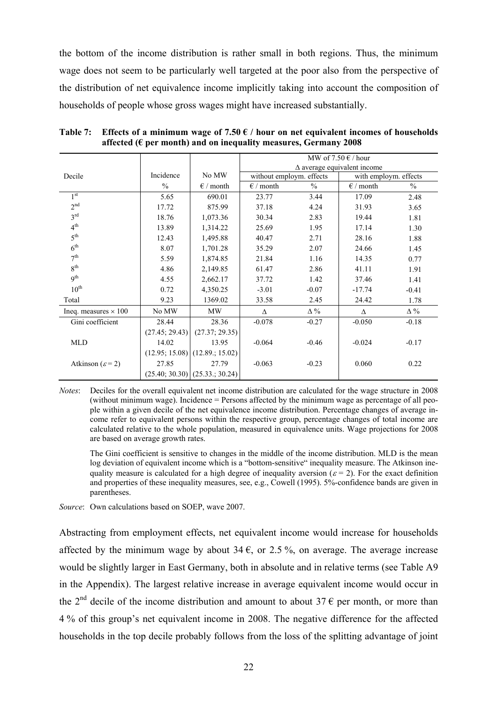the bottom of the income distribution is rather small in both regions. Thus, the minimum wage does not seem to be particularly well targeted at the poor also from the perspective of the distribution of net equivalence income implicitly taking into account the composition of households of people whose gross wages might have increased substantially.

|                              |                |                                   | MW of $7.50 \in /$ hour  |            |                                    |            |  |  |
|------------------------------|----------------|-----------------------------------|--------------------------|------------|------------------------------------|------------|--|--|
|                              |                |                                   |                          |            | $\Delta$ average equivalent income |            |  |  |
| Decile                       | Incidence      | No MW                             | without employm. effects |            | with employm. effects              |            |  |  |
|                              | $\frac{0}{0}$  | $\epsilon$ / month                | $\epsilon$ / month       | $\%$       | $\epsilon$ / month                 | $\%$       |  |  |
| 1 <sup>st</sup>              | 5.65           | 690.01                            | 23.77                    | 3.44       | 17.09                              | 2.48       |  |  |
| 2 <sup>nd</sup>              | 17.72          | 875.99                            | 37.18                    | 4.24       | 31.93                              | 3.65       |  |  |
| 3 <sup>rd</sup>              | 18.76          | 1,073.36                          | 30.34                    | 2.83       | 19.44                              | 1.81       |  |  |
| 4 <sup>th</sup>              | 13.89          | 1,314.22                          | 25.69                    | 1.95       | 17.14                              | 1.30       |  |  |
| 5 <sup>th</sup>              | 12.43          | 1,495.88                          | 40.47                    | 2.71       | 28.16                              | 1.88       |  |  |
| 6 <sup>th</sup>              | 8.07           | 1,701.28                          | 35.29                    | 2.07       | 24.66                              | 1.45       |  |  |
| 7 <sup>th</sup>              | 5.59           | 1,874.85                          | 21.84                    | 1.16       | 14.35                              | 0.77       |  |  |
| 8 <sup>th</sup>              | 4.86           | 2,149.85                          | 61.47                    | 2.86       | 41.11                              | 1.91       |  |  |
| 9 <sup>th</sup>              | 4.55           | 2,662.17                          | 37.72                    | 1.42       | 37.46                              | 1.41       |  |  |
| $10^{\text{th}}$             | 0.72           | 4,350.25                          | $-3.01$                  | $-0.07$    | $-17.74$                           | $-0.41$    |  |  |
| Total                        | 9.23           | 1369.02                           | 33.58                    | 2.45       | 24.42                              | 1.78       |  |  |
| Ineq. measures $\times$ 100  | No MW          | <b>MW</b>                         | Δ                        | $\Delta\%$ | Δ                                  | $\Delta\%$ |  |  |
| Gini coefficient             | 28.44          | 28.36                             | $-0.078$                 | $-0.27$    | $-0.050$                           | $-0.18$    |  |  |
|                              | (27.45; 29.43) | (27.37; 29.35)                    |                          |            |                                    |            |  |  |
| <b>MLD</b>                   | 14.02          | 13.95                             | $-0.064$                 | $-0.46$    | $-0.024$                           | $-0.17$    |  |  |
|                              |                | $(12.95; 15.08)$ $(12.89; 15.02)$ |                          |            |                                    |            |  |  |
| Atkinson ( $\varepsilon$ =2) | 27.85          | 27.79                             | $-0.063$                 | $-0.23$    | 0.060                              | 0.22       |  |  |
|                              |                | $(25.40; 30.30)$ $(25.33; 30.24)$ |                          |            |                                    |            |  |  |

**Table 7: Effects of a minimum wage of 7.50 € / hour on net equivalent incomes of households affected (€ per month) and on inequality measures, Germany 2008** 

*Notes*: Deciles for the overall equivalent net income distribution are calculated for the wage structure in 2008 (without minimum wage). Incidence = Persons affected by the minimum wage as percentage of all people within a given decile of the net equivalence income distribution. Percentage changes of average income refer to equivalent persons within the respective group, percentage changes of total income are calculated relative to the whole population, measured in equivalence units. Wage projections for 2008 are based on average growth rates.

 The Gini coefficient is sensitive to changes in the middle of the income distribution. MLD is the mean log deviation of equivalent income which is a "bottom-sensitive" inequality measure. The Atkinson inequality measure is calculated for a high degree of inequality aversion ( $\varepsilon$  = 2). For the exact definition and properties of these inequality measures, see, e.g., Cowell (1995). 5%-confidence bands are given in parentheses.

*Source*: Own calculations based on SOEP, wave 2007.

Abstracting from employment effects, net equivalent income would increase for households affected by the minimum wage by about 34  $\epsilon$ , or 2.5 %, on average. The average increase would be slightly larger in East Germany, both in absolute and in relative terms (see Table A9 in the Appendix). The largest relative increase in average equivalent income would occur in the 2<sup>nd</sup> decile of the income distribution and amount to about 37  $\epsilon$  per month, or more than 4 % of this group's net equivalent income in 2008. The negative difference for the affected households in the top decile probably follows from the loss of the splitting advantage of joint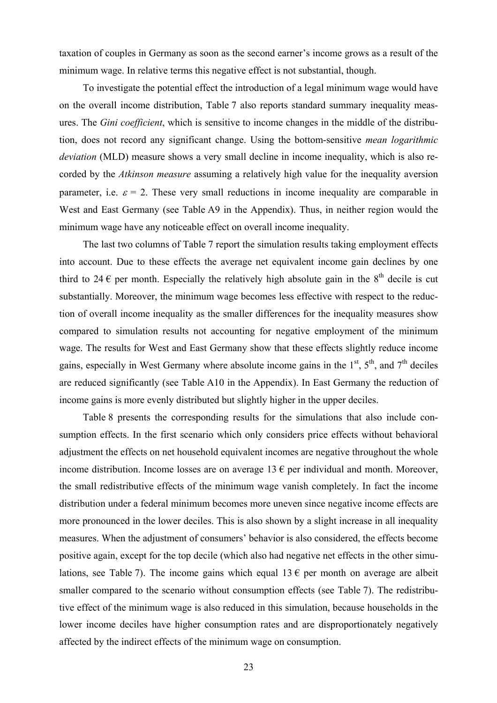taxation of couples in Germany as soon as the second earner's income grows as a result of the minimum wage. In relative terms this negative effect is not substantial, though.

To investigate the potential effect the introduction of a legal minimum wage would have on the overall income distribution, Table 7 also reports standard summary inequality measures. The *Gini coefficient*, which is sensitive to income changes in the middle of the distribution, does not record any significant change. Using the bottom-sensitive *mean logarithmic deviation* (MLD) measure shows a very small decline in income inequality, which is also recorded by the *Atkinson measure* assuming a relatively high value for the inequality aversion parameter, i.e.  $\varepsilon = 2$ . These very small reductions in income inequality are comparable in West and East Germany (see Table A9 in the Appendix). Thus, in neither region would the minimum wage have any noticeable effect on overall income inequality.

The last two columns of Table 7 report the simulation results taking employment effects into account. Due to these effects the average net equivalent income gain declines by one third to 24  $\epsilon$  per month. Especially the relatively high absolute gain in the 8<sup>th</sup> decile is cut substantially. Moreover, the minimum wage becomes less effective with respect to the reduction of overall income inequality as the smaller differences for the inequality measures show compared to simulation results not accounting for negative employment of the minimum wage. The results for West and East Germany show that these effects slightly reduce income gains, especially in West Germany where absolute income gains in the  $1<sup>st</sup>$ ,  $5<sup>th</sup>$ , and  $7<sup>th</sup>$  deciles are reduced significantly (see Table A10 in the Appendix). In East Germany the reduction of income gains is more evenly distributed but slightly higher in the upper deciles.

Table 8 presents the corresponding results for the simulations that also include consumption effects. In the first scenario which only considers price effects without behavioral adjustment the effects on net household equivalent incomes are negative throughout the whole income distribution. Income losses are on average 13  $\epsilon$  per individual and month. Moreover, the small redistributive effects of the minimum wage vanish completely. In fact the income distribution under a federal minimum becomes more uneven since negative income effects are more pronounced in the lower deciles. This is also shown by a slight increase in all inequality measures. When the adjustment of consumers' behavior is also considered, the effects become positive again, except for the top decile (which also had negative net effects in the other simulations, see Table 7). The income gains which equal  $13 \epsilon$  per month on average are albeit smaller compared to the scenario without consumption effects (see Table 7). The redistributive effect of the minimum wage is also reduced in this simulation, because households in the lower income deciles have higher consumption rates and are disproportionately negatively affected by the indirect effects of the minimum wage on consumption.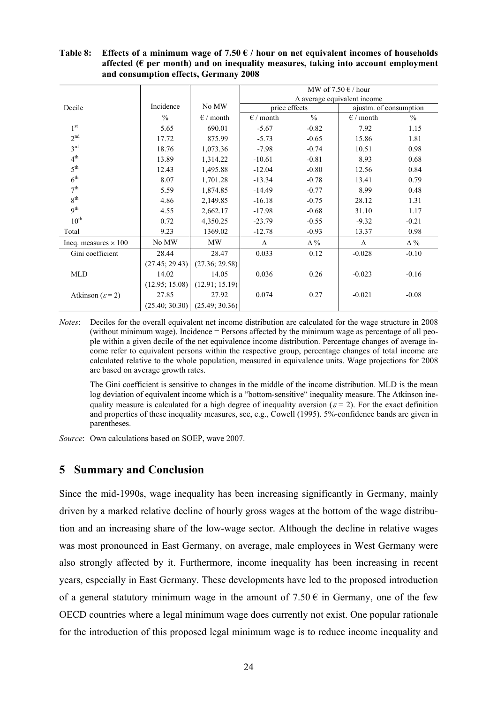|                              |                |                                   |                    | MW of 7.50 $\epsilon$ / hour       |                        |               |
|------------------------------|----------------|-----------------------------------|--------------------|------------------------------------|------------------------|---------------|
|                              |                |                                   |                    | $\Delta$ average equivalent income |                        |               |
| Decile                       | Incidence      | No MW                             | price effects      |                                    | ajustm. of consumption |               |
|                              | $\frac{0}{0}$  | $\epsilon$ / month                | $\epsilon$ / month | $\frac{0}{0}$                      | $\epsilon$ / month     | $\frac{0}{0}$ |
| 1 <sup>st</sup>              | 5.65           | 690.01                            | $-5.67$            | $-0.82$                            | 7.92                   | 1.15          |
| 2 <sup>nd</sup>              | 17.72          | 875.99                            | $-5.73$            | $-0.65$                            | 15.86                  | 1.81          |
| 3 <sup>rd</sup>              | 18.76          | 1,073.36                          | $-7.98$            | $-0.74$                            | 10.51                  | 0.98          |
| 4 <sup>th</sup>              | 13.89          | 1,314.22                          | $-10.61$           | $-0.81$                            | 8.93                   | 0.68          |
| 5 <sup>th</sup>              | 12.43          | 1,495.88                          | $-12.04$           | $-0.80$                            | 12.56                  | 0.84          |
| 6 <sup>th</sup>              | 8.07           | 1,701.28                          | $-13.34$           | $-0.78$                            | 13.41                  | 0.79          |
| 7 <sup>th</sup>              | 5.59           | 1,874.85                          | $-14.49$           | $-0.77$                            | 8.99                   | 0.48          |
| 8 <sup>th</sup>              | 4.86           | 2,149.85                          | $-16.18$           | $-0.75$                            | 28.12                  | 1.31          |
| 9 <sup>th</sup>              | 4.55           | 2,662.17                          | $-17.98$           | $-0.68$                            | 31.10                  | 1.17          |
| $10^{\text{th}}$             | 0.72           | 4,350.25                          | $-23.79$           | $-0.55$                            | $-9.32$                | $-0.21$       |
| Total                        | 9.23           | 1369.02                           | $-12.78$           | $-0.93$                            | 13.37                  | 0.98          |
| Ineq. measures $\times$ 100  | No MW          | <b>MW</b>                         | Δ                  | $\Delta\%$                         | Δ                      | $\Delta\%$    |
| Gini coefficient             | 28.44          | 28.47                             | 0.033              | 0.12                               | $-0.028$               | $-0.10$       |
|                              | (27.45; 29.43) | (27.36; 29.58)                    |                    |                                    |                        |               |
| <b>MLD</b>                   | 14.02          | 14.05                             | 0.036              | 0.26                               | $-0.023$               | $-0.16$       |
|                              | (12.95; 15.08) | (12.91; 15.19)                    |                    |                                    |                        |               |
| Atkinson ( $\varepsilon$ =2) | 27.85          | 27.92                             | 0.074              | 0.27                               | $-0.021$               | $-0.08$       |
|                              |                | $(25.40; 30.30)$ $(25.49; 30.36)$ |                    |                                    |                        |               |

#### Table 8: Effects of a minimum wage of 7.50  $\epsilon$  / hour on net equivalent incomes of households **affected (€ per month) and on inequality measures, taking into account employment and consumption effects, Germany 2008**

*Notes*: Deciles for the overall equivalent net income distribution are calculated for the wage structure in 2008 (without minimum wage). Incidence = Persons affected by the minimum wage as percentage of all people within a given decile of the net equivalence income distribution. Percentage changes of average income refer to equivalent persons within the respective group, percentage changes of total income are calculated relative to the whole population, measured in equivalence units. Wage projections for 2008 are based on average growth rates.

 The Gini coefficient is sensitive to changes in the middle of the income distribution. MLD is the mean log deviation of equivalent income which is a "bottom-sensitive" inequality measure. The Atkinson inequality measure is calculated for a high degree of inequality aversion ( $\varepsilon$  = 2). For the exact definition and properties of these inequality measures, see, e.g., Cowell (1995). 5%-confidence bands are given in parentheses.

*Source*: Own calculations based on SOEP, wave 2007.

## **5 Summary and Conclusion**

Since the mid-1990s, wage inequality has been increasing significantly in Germany, mainly driven by a marked relative decline of hourly gross wages at the bottom of the wage distribution and an increasing share of the low-wage sector. Although the decline in relative wages was most pronounced in East Germany, on average, male employees in West Germany were also strongly affected by it. Furthermore, income inequality has been increasing in recent years, especially in East Germany. These developments have led to the proposed introduction of a general statutory minimum wage in the amount of  $7.50 \in \mathbb{R}$  in Germany, one of the few OECD countries where a legal minimum wage does currently not exist. One popular rationale for the introduction of this proposed legal minimum wage is to reduce income inequality and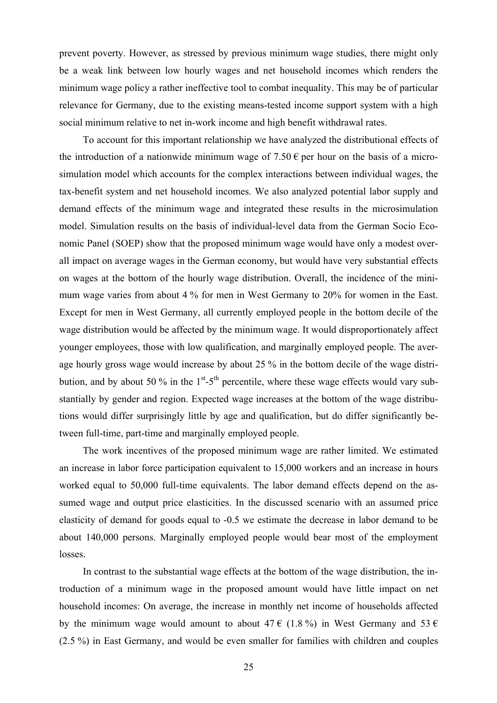prevent poverty. However, as stressed by previous minimum wage studies, there might only be a weak link between low hourly wages and net household incomes which renders the minimum wage policy a rather ineffective tool to combat inequality. This may be of particular relevance for Germany, due to the existing means-tested income support system with a high social minimum relative to net in-work income and high benefit withdrawal rates.

To account for this important relationship we have analyzed the distributional effects of the introduction of a nationwide minimum wage of 7.50  $\epsilon$  per hour on the basis of a microsimulation model which accounts for the complex interactions between individual wages, the tax-benefit system and net household incomes. We also analyzed potential labor supply and demand effects of the minimum wage and integrated these results in the microsimulation model. Simulation results on the basis of individual-level data from the German Socio Economic Panel (SOEP) show that the proposed minimum wage would have only a modest overall impact on average wages in the German economy, but would have very substantial effects on wages at the bottom of the hourly wage distribution. Overall, the incidence of the minimum wage varies from about 4 % for men in West Germany to 20% for women in the East. Except for men in West Germany, all currently employed people in the bottom decile of the wage distribution would be affected by the minimum wage. It would disproportionately affect younger employees, those with low qualification, and marginally employed people. The average hourly gross wage would increase by about 25 % in the bottom decile of the wage distribution, and by about 50 % in the  $1<sup>st</sup> - 5<sup>th</sup>$  percentile, where these wage effects would vary substantially by gender and region. Expected wage increases at the bottom of the wage distributions would differ surprisingly little by age and qualification, but do differ significantly between full-time, part-time and marginally employed people.

The work incentives of the proposed minimum wage are rather limited. We estimated an increase in labor force participation equivalent to 15,000 workers and an increase in hours worked equal to 50,000 full-time equivalents. The labor demand effects depend on the assumed wage and output price elasticities. In the discussed scenario with an assumed price elasticity of demand for goods equal to -0.5 we estimate the decrease in labor demand to be about 140,000 persons. Marginally employed people would bear most of the employment losses.

In contrast to the substantial wage effects at the bottom of the wage distribution, the introduction of a minimum wage in the proposed amount would have little impact on net household incomes: On average, the increase in monthly net income of households affected by the minimum wage would amount to about 47  $\epsilon$  (1.8%) in West Germany and 53  $\epsilon$ (2.5 %) in East Germany, and would be even smaller for families with children and couples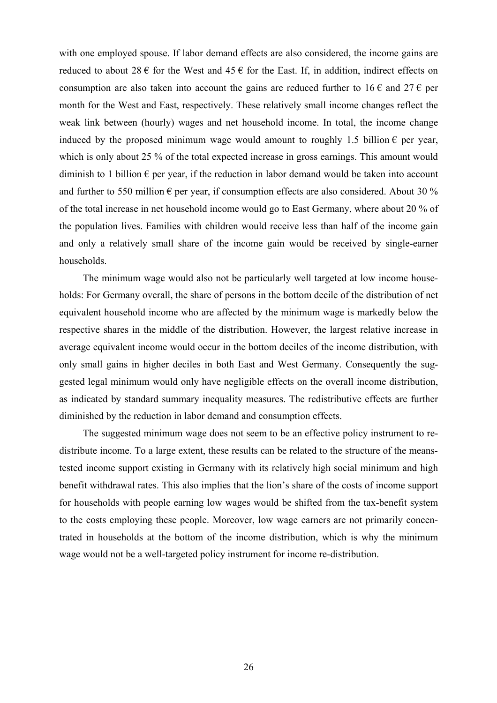with one employed spouse. If labor demand effects are also considered, the income gains are reduced to about  $28 \in$  for the West and  $45 \in$  for the East. If, in addition, indirect effects on consumption are also taken into account the gains are reduced further to  $16 \in \mathbb{R}$  and  $27 \in \mathbb{R}$  per month for the West and East, respectively. These relatively small income changes reflect the weak link between (hourly) wages and net household income. In total, the income change induced by the proposed minimum wage would amount to roughly 1.5 billion  $\epsilon$  per year, which is only about 25 % of the total expected increase in gross earnings. This amount would diminish to 1 billion  $\epsilon$  per year, if the reduction in labor demand would be taken into account and further to 550 million  $\epsilon$  per year, if consumption effects are also considered. About 30 % of the total increase in net household income would go to East Germany, where about 20 % of the population lives. Families with children would receive less than half of the income gain and only a relatively small share of the income gain would be received by single-earner households.

The minimum wage would also not be particularly well targeted at low income households: For Germany overall, the share of persons in the bottom decile of the distribution of net equivalent household income who are affected by the minimum wage is markedly below the respective shares in the middle of the distribution. However, the largest relative increase in average equivalent income would occur in the bottom deciles of the income distribution, with only small gains in higher deciles in both East and West Germany. Consequently the suggested legal minimum would only have negligible effects on the overall income distribution, as indicated by standard summary inequality measures. The redistributive effects are further diminished by the reduction in labor demand and consumption effects.

The suggested minimum wage does not seem to be an effective policy instrument to redistribute income. To a large extent, these results can be related to the structure of the meanstested income support existing in Germany with its relatively high social minimum and high benefit withdrawal rates. This also implies that the lion's share of the costs of income support for households with people earning low wages would be shifted from the tax-benefit system to the costs employing these people. Moreover, low wage earners are not primarily concentrated in households at the bottom of the income distribution, which is why the minimum wage would not be a well-targeted policy instrument for income re-distribution.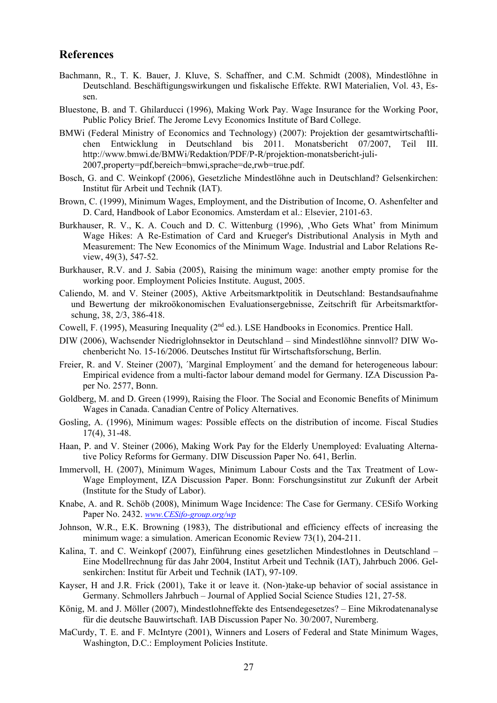# **References**

- Bachmann, R., T. K. Bauer, J. Kluve, S. Schaffner, and C.M. Schmidt (2008), Mindestlöhne in Deutschland. Beschäftigungswirkungen und fiskalische Effekte. RWI Materialien, Vol. 43, Essen.
- Bluestone, B. and T. Ghilarducci (1996), Making Work Pay. Wage Insurance for the Working Poor, Public Policy Brief. The Jerome Levy Economics Institute of Bard College.
- BMWi (Federal Ministry of Economics and Technology) (2007): Projektion der gesamtwirtschaftlichen Entwicklung in Deutschland bis 2011. Monatsbericht 07/2007, Teil III. http://www.bmwi.de/BMWi/Redaktion/PDF/P-R/projektion-monatsbericht-juli-2007,property=pdf,bereich=bmwi,sprache=de,rwb=true.pdf.
- Bosch, G. and C. Weinkopf (2006), Gesetzliche Mindestlöhne auch in Deutschland? Gelsenkirchen: Institut für Arbeit und Technik (IAT).
- Brown, C. (1999), Minimum Wages, Employment, and the Distribution of Income, O. Ashenfelter and D. Card, Handbook of Labor Economics. Amsterdam et al.: Elsevier, 2101-63.
- Burkhauser, R. V., K. A. Couch and D. C. Wittenburg (1996), , Who Gets What' from Minimum Wage Hikes: A Re-Estimation of Card and Krueger's Distributional Analysis in Myth and Measurement: The New Economics of the Minimum Wage. Industrial and Labor Relations Review, 49(3), 547-52.
- Burkhauser, R.V. and J. Sabia (2005), Raising the minimum wage: another empty promise for the working poor. Employment Policies Institute. August, 2005.
- Caliendo, M. and V. Steiner (2005), Aktive Arbeitsmarktpolitik in Deutschland: Bestandsaufnahme und Bewertung der mikroökonomischen Evaluationsergebnisse, Zeitschrift für Arbeitsmarktforschung, 38, 2/3, 386-418.
- Cowell, F. (1995), Measuring Inequality  $(2<sup>nd</sup>$  ed.). LSE Handbooks in Economics. Prentice Hall.
- DIW (2006), Wachsender Niedriglohnsektor in Deutschland sind Mindestlöhne sinnvoll? DIW Wochenbericht No. 15-16/2006. Deutsches Institut für Wirtschaftsforschung, Berlin.
- Freier, R. and V. Steiner (2007), 'Marginal Employment' and the demand for heterogeneous labour: Empirical evidence from a multi-factor labour demand model for Germany. IZA Discussion Paper No. 2577, Bonn.
- Goldberg, M. and D. Green (1999), Raising the Floor. The Social and Economic Benefits of Minimum Wages in Canada. Canadian Centre of Policy Alternatives.
- Gosling, A. (1996), Minimum wages: Possible effects on the distribution of income. Fiscal Studies 17(4), 31-48.
- Haan, P. and V. Steiner (2006), Making Work Pay for the Elderly Unemployed: Evaluating Alternative Policy Reforms for Germany. DIW Discussion Paper No. 641, Berlin.
- Immervoll, H. (2007), Minimum Wages, Minimum Labour Costs and the Tax Treatment of Low-Wage Employment, IZA Discussion Paper. Bonn: Forschungsinstitut zur Zukunft der Arbeit (Institute for the Study of Labor).
- Knabe, A. and R. Schöb (2008), Minimum Wage Incidence: The Case for Germany. CESifo Working Paper No. 2432. *www.CESifo-group.org/wp*
- Johnson, W.R., E.K. Browning (1983), The distributional and efficiency effects of increasing the minimum wage: a simulation. American Economic Review 73(1), 204-211.
- Kalina, T. and C. Weinkopf (2007), Einführung eines gesetzlichen Mindestlohnes in Deutschland Eine Modellrechnung für das Jahr 2004, Institut Arbeit und Technik (IAT), Jahrbuch 2006. Gelsenkirchen: Institut für Arbeit und Technik (IAT), 97-109.
- Kayser, H and J.R. Frick (2001), Take it or leave it. (Non-)take-up behavior of social assistance in Germany. Schmollers Jahrbuch – Journal of Applied Social Science Studies 121, 27-58.
- König, M. and J. Möller (2007), Mindestlohneffekte des Entsendegesetzes? Eine Mikrodatenanalyse für die deutsche Bauwirtschaft. IAB Discussion Paper No. 30/2007, Nuremberg.
- MaCurdy, T. E. and F. McIntyre (2001), Winners and Losers of Federal and State Minimum Wages, Washington, D.C.: Employment Policies Institute.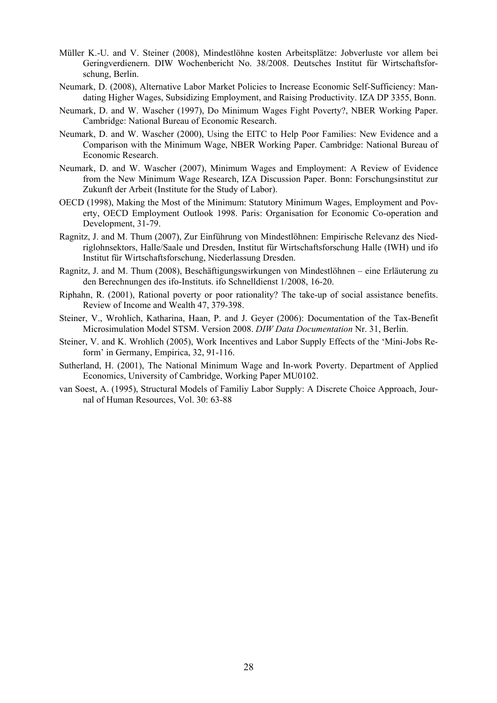- Müller K.-U. and V. Steiner (2008), Mindestlöhne kosten Arbeitsplätze: Jobverluste vor allem bei Geringverdienern. DIW Wochenbericht No. 38/2008. Deutsches Institut für Wirtschaftsforschung, Berlin.
- Neumark, D. (2008), Alternative Labor Market Policies to Increase Economic Self-Sufficiency: Mandating Higher Wages, Subsidizing Employment, and Raising Productivity. IZA DP 3355, Bonn.
- Neumark, D. and W. Wascher (1997), Do Minimum Wages Fight Poverty?, NBER Working Paper. Cambridge: National Bureau of Economic Research.
- Neumark, D. and W. Wascher (2000), Using the EITC to Help Poor Families: New Evidence and a Comparison with the Minimum Wage, NBER Working Paper. Cambridge: National Bureau of Economic Research.
- Neumark, D. and W. Wascher (2007), Minimum Wages and Employment: A Review of Evidence from the New Minimum Wage Research, IZA Discussion Paper. Bonn: Forschungsinstitut zur Zukunft der Arbeit (Institute for the Study of Labor).
- OECD (1998), Making the Most of the Minimum: Statutory Minimum Wages, Employment and Poverty, OECD Employment Outlook 1998. Paris: Organisation for Economic Co-operation and Development, 31-79.
- Ragnitz, J. and M. Thum (2007), Zur Einführung von Mindestlöhnen: Empirische Relevanz des Niedriglohnsektors, Halle/Saale und Dresden, Institut für Wirtschaftsforschung Halle (IWH) und ifo Institut für Wirtschaftsforschung, Niederlassung Dresden.
- Ragnitz, J. and M. Thum (2008), Beschäftigungswirkungen von Mindestlöhnen eine Erläuterung zu den Berechnungen des ifo-Instituts. ifo Schnelldienst 1/2008, 16-20.
- Riphahn, R. (2001), Rational poverty or poor rationality? The take-up of social assistance benefits. Review of Income and Wealth 47, 379-398.
- Steiner, V., Wrohlich, Katharina, Haan, P. and J. Geyer (2006): Documentation of the Tax-Benefit Microsimulation Model STSM. Version 2008. *DIW Data Documentation* Nr. 31, Berlin.
- Steiner, V. and K. Wrohlich (2005), Work Incentives and Labor Supply Effects of the 'Mini-Jobs Reform' in Germany, Empirica, 32, 91-116.
- Sutherland, H. (2001), The National Minimum Wage and In-work Poverty. Department of Applied Economics, University of Cambridge, Working Paper MU0102.
- van Soest, A. (1995), Structural Models of Familiy Labor Supply: A Discrete Choice Approach, Journal of Human Resources, Vol. 30: 63-88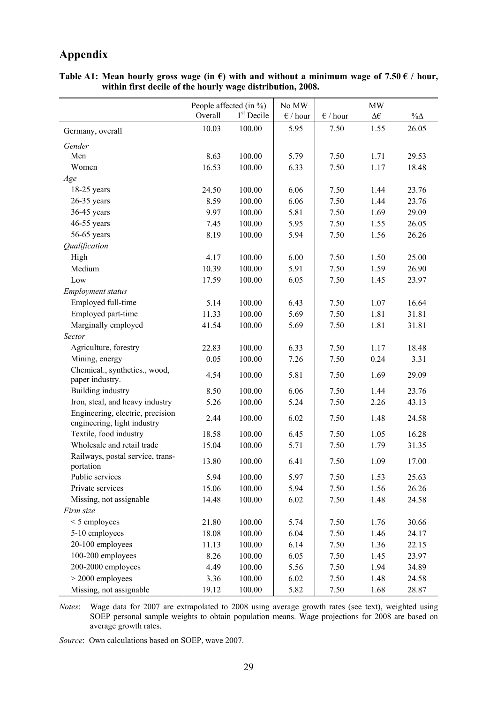# **Appendix**

|                                                                 | People affected (in $\%$ ) |              | No MW             |                   | MW           |            |
|-----------------------------------------------------------------|----------------------------|--------------|-------------------|-------------------|--------------|------------|
|                                                                 | Overall                    | $1st$ Decile | $\epsilon$ / hour | $\epsilon$ / hour | $\Delta \in$ | $\%\Delta$ |
| Germany, overall                                                | 10.03                      | 100.00       | 5.95              | 7.50              | 1.55         | 26.05      |
| Gender                                                          |                            |              |                   |                   |              |            |
| Men                                                             | 8.63                       | 100.00       | 5.79              | 7.50              | 1.71         | 29.53      |
| Women                                                           | 16.53                      | 100.00       | 6.33              | 7.50              | 1.17         | 18.48      |
| Age                                                             |                            |              |                   |                   |              |            |
| $18-25$ years                                                   | 24.50                      | 100.00       | 6.06              | 7.50              | 1.44         | 23.76      |
| $26-35$ years                                                   | 8.59                       | 100.00       | 6.06              | 7.50              | 1.44         | 23.76      |
| $36-45$ years                                                   | 9.97                       | 100.00       | 5.81              | 7.50              | 1.69         | 29.09      |
| 46-55 years                                                     | 7.45                       | 100.00       | 5.95              | 7.50              | 1.55         | 26.05      |
| 56-65 years                                                     | 8.19                       | 100.00       | 5.94              | 7.50              | 1.56         | 26.26      |
| Qualification                                                   |                            |              |                   |                   |              |            |
| High                                                            | 4.17                       | 100.00       | 6.00              | 7.50              | 1.50         | 25.00      |
| Medium                                                          | 10.39                      | 100.00       | 5.91              | 7.50              | 1.59         | 26.90      |
| Low                                                             | 17.59                      | 100.00       | 6.05              | 7.50              | 1.45         | 23.97      |
| <b>Employment status</b>                                        |                            |              |                   |                   |              |            |
| Employed full-time                                              | 5.14                       | 100.00       | 6.43              | 7.50              | 1.07         | 16.64      |
| Employed part-time                                              | 11.33                      | 100.00       | 5.69              | 7.50              | 1.81         | 31.81      |
| Marginally employed                                             | 41.54                      | 100.00       | 5.69              | 7.50              | 1.81         | 31.81      |
| Sector                                                          |                            |              |                   |                   |              |            |
| Agriculture, forestry                                           | 22.83                      | 100.00       | 6.33              | 7.50              | 1.17         | 18.48      |
| Mining, energy                                                  | 0.05                       | 100.00       | 7.26              | 7.50              | 0.24         | 3.31       |
| Chemical., synthetics., wood,                                   |                            |              |                   |                   |              |            |
| paper industry.                                                 | 4.54                       | 100.00       | 5.81              | 7.50              | 1.69         | 29.09      |
| Building industry                                               | 8.50                       | 100.00       | 6.06              | 7.50              | 1.44         | 23.76      |
| Iron, steal, and heavy industry                                 | 5.26                       | 100.00       | 5.24              | 7.50              | 2.26         | 43.13      |
| Engineering, electric, precision<br>engineering, light industry | 2.44                       | 100.00       | 6.02              | 7.50              | 1.48         | 24.58      |
| Textile, food industry                                          | 18.58                      | 100.00       | 6.45              | 7.50              | 1.05         | 16.28      |
| Wholesale and retail trade                                      | 15.04                      | 100.00       | 5.71              | 7.50              | 1.79         | 31.35      |
| Railways, postal service, trans-<br>portation                   | 13.80                      | 100.00       | 6.41              | 7.50              | 1.09         | 17.00      |
| Public services                                                 | 5.94                       | 100.00       | 5.97              | 7.50              | 1.53         | 25.63      |
| Private services                                                | 15.06                      | 100.00       | 5.94              | 7.50              | 1.56         | 26.26      |
| Missing, not assignable                                         | 14.48                      | 100.00       | 6.02              | 7.50              | 1.48         | 24.58      |
| Firm size                                                       |                            |              |                   |                   |              |            |
| $<$ 5 employees                                                 | 21.80                      | 100.00       | 5.74              | 7.50              | 1.76         | 30.66      |
| 5-10 employees                                                  | 18.08                      | 100.00       | 6.04              | 7.50              | 1.46         | 24.17      |
| 20-100 employees                                                | 11.13                      | 100.00       | 6.14              | 7.50              | 1.36         | 22.15      |
| 100-200 employees                                               | 8.26                       | 100.00       | 6.05              | 7.50              | 1.45         | 23.97      |
| 200-2000 employees                                              | 4.49                       | 100.00       | 5.56              | 7.50              | 1.94         | 34.89      |
| $>$ 2000 employees                                              | 3.36                       | 100.00       | 6.02              | 7.50              | 1.48         | 24.58      |
| Missing, not assignable                                         | 19.12                      | 100.00       | 5.82              | 7.50              | 1.68         | 28.87      |

Table A1: Mean hourly gross wage (in  $\epsilon$ ) with and without a minimum wage of 7.50  $\epsilon$  / hour, **within first decile of the hourly wage distribution, 2008.** 

*Notes*: Wage data for 2007 are extrapolated to 2008 using average growth rates (see text), weighted using SOEP personal sample weights to obtain population means. Wage projections for 2008 are based on average growth rates.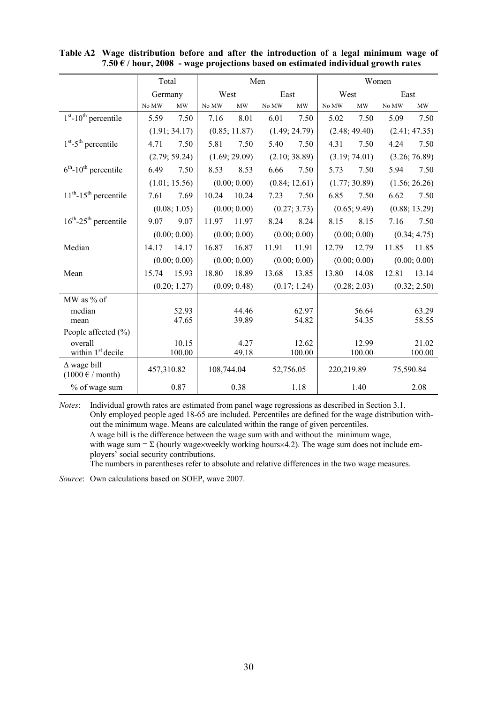|                                                                 | Total       |               |            |                                 | Men         |                                 |            |               | Women |               |
|-----------------------------------------------------------------|-------------|---------------|------------|---------------------------------|-------------|---------------------------------|------------|---------------|-------|---------------|
|                                                                 | Germany     |               | West       |                                 | East        |                                 | West       |               | East  |               |
|                                                                 | $\rm No~MW$ | MW            | No MW      | $\ensuremath{\text{MW}}\xspace$ | $\rm No~MW$ | $\ensuremath{\text{MW}}\xspace$ | No MW      | MW            | No MW | MW            |
| $1st$ -10 <sup>th</sup> percentile                              | 5.59        | 7.50          | 7.16       | 8.01                            | 6.01        | 7.50                            | 5.02       | 7.50          | 5.09  | 7.50          |
|                                                                 |             | (1.91; 34.17) |            | (0.85; 11.87)                   |             | (1.49; 24.79)                   |            | (2.48; 49.40) |       | (2.41; 47.35) |
| $1st - 5th$ percentile                                          | 4.71        | 7.50          | 5.81       | 7.50                            | 5.40        | 7.50                            | 4.31       | 7.50          | 4.24  | 7.50          |
|                                                                 |             | (2.79; 59.24) |            | (1.69; 29.09)                   |             | (2.10; 38.89)                   |            | (3.19; 74.01) |       | (3.26; 76.89) |
| $6th$ -10 <sup>th</sup> percentile                              | 6.49        | 7.50          | 8.53       | 8.53                            | 6.66        | 7.50                            | 5.73       | 7.50          | 5.94  | 7.50          |
|                                                                 |             | (1.01; 15.56) |            | (0.00; 0.00)                    |             | (0.84; 12.61)                   |            | (1.77; 30.89) |       | (1.56; 26.26) |
| $11th$ -15 <sup>th</sup> percentile                             | 7.61        | 7.69          | 10.24      | 10.24                           | 7.23        | 7.50                            | 6.85       | 7.50          | 6.62  | 7.50          |
|                                                                 |             | (0.08; 1.05)  |            | (0.00; 0.00)                    |             | (0.27; 3.73)                    |            | (0.65; 9.49)  |       | (0.88; 13.29) |
| $16^{th}$ -25 <sup>th</sup> percentile                          | 9.07        | 9.07          | 11.97      | 11.97                           | 8.24        | 8.24                            | 8.15       | 8.15          | 7.16  | 7.50          |
|                                                                 |             | (0.00; 0.00)  |            | (0.00; 0.00)                    |             | (0.00; 0.00)                    |            | (0.00; 0.00)  |       | (0.34; 4.75)  |
| Median                                                          | 14.17       | 14.17         | 16.87      | 16.87                           | 11.91       | 11.91                           | 12.79      | 12.79         | 11.85 | 11.85         |
|                                                                 |             | (0.00; 0.00)  |            | (0.00; 0.00)                    |             | (0.00; 0.00)                    |            | (0.00; 0.00)  |       | (0.00; 0.00)  |
| Mean                                                            | 15.74       | 15.93         | 18.80      | 18.89                           | 13.68       | 13.85                           | 13.80      | 14.08         | 12.81 | 13.14         |
|                                                                 |             | (0.20; 1.27)  |            | (0.09; 0.48)                    |             | (0.17; 1.24)                    |            | (0.28; 2.03)  |       | (0.32; 2.50)  |
| MW as % of                                                      |             |               |            |                                 |             |                                 |            |               |       |               |
| median                                                          |             | 52.93         |            | 44.46                           |             | 62.97                           |            | 56.64         |       | 63.29         |
| mean                                                            |             | 47.65         |            | 39.89                           |             | 54.82                           |            | 54.35         |       | 58.55         |
| People affected $(\% )$                                         |             |               |            |                                 |             |                                 |            |               |       |               |
| overall                                                         |             | 10.15         |            | 4.27                            |             | 12.62                           |            | 12.99         |       | 21.02         |
| within 1 <sup>st</sup> decile                                   |             | 100.00        |            | 49.18                           |             | 100.00                          |            | 100.00        |       | 100.00        |
| $\Delta$ wage bill<br>$(1000 \text{ }\epsilon \text{ / month})$ | 457,310.82  |               | 108,744.04 |                                 | 52,756.05   |                                 | 220,219.89 |               |       | 75,590.84     |
| % of wage sum                                                   |             | 0.87          |            | 0.38                            |             | 1.18                            |            | 1.40          |       | 2.08          |

**Table A2 Wage distribution before and after the introduction of a legal minimum wage of 7.50 € / hour, 2008 - wage projections based on estimated individual growth rates** 

*Notes*: Individual growth rates are estimated from panel wage regressions as described in Section 3.1. Only employed people aged 18-65 are included. Percentiles are defined for the wage distribution without the minimum wage. Means are calculated within the range of given percentiles. ∆ wage bill is the difference between the wage sum with and without the minimum wage, with wage sum =  $\Sigma$  (hourly wage×weekly working hours×4.2). The wage sum does not include employers' social security contributions. The numbers in parentheses refer to absolute and relative differences in the two wage measures.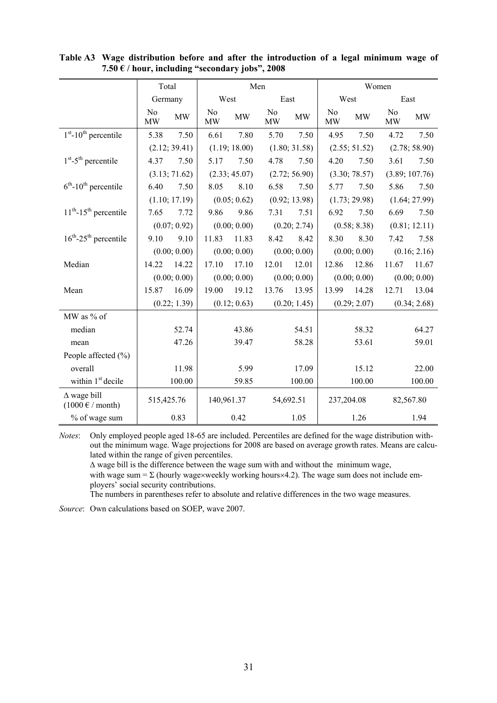|                                                                 |            | Total         |                             | Men           |                             |               |            | Women         |                      |                |
|-----------------------------------------------------------------|------------|---------------|-----------------------------|---------------|-----------------------------|---------------|------------|---------------|----------------------|----------------|
|                                                                 | Germany    |               | West                        |               | East                        |               | West       |               | East                 |                |
|                                                                 | No<br>MW   | <b>MW</b>     | N <sub>0</sub><br><b>MW</b> | <b>MW</b>     | N <sub>o</sub><br><b>MW</b> | MW            | No<br>MW   | MW            | N <sub>o</sub><br>MW | <b>MW</b>      |
| $1st$ -10 <sup>th</sup> percentile                              | 5.38       | 7.50          | 6.61                        | 7.80          | 5.70                        | 7.50          | 4.95       | 7.50          | 4.72                 | 7.50           |
|                                                                 |            | (2.12; 39.41) |                             | (1.19; 18.00) |                             | (1.80; 31.58) |            | (2.55; 51.52) |                      | (2.78; 58.90)  |
| $1st - 5th$ percentile                                          | 4.37       | 7.50          | 5.17                        | 7.50          | 4.78                        | 7.50          | 4.20       | 7.50          | 3.61                 | 7.50           |
|                                                                 |            | (3.13; 71.62) |                             | (2.33; 45.07) |                             | (2.72; 56.90) |            | (3.30; 78.57) |                      | (3.89; 107.76) |
| $6th$ -10 <sup>th</sup> percentile                              | 6.40       | 7.50          | 8.05                        | 8.10          | 6.58                        | 7.50          | 5.77       | 7.50          | 5.86                 | 7.50           |
|                                                                 |            | (1.10; 17.19) |                             | (0.05; 0.62)  |                             | (0.92; 13.98) |            | (1.73; 29.98) |                      | (1.64; 27.99)  |
| $11th$ -15 <sup>th</sup> percentile                             | 7.65       | 7.72          | 9.86                        | 9.86          | 7.31                        | 7.51          | 6.92       | 7.50          | 6.69                 | 7.50           |
|                                                                 |            | (0.07; 0.92)  |                             | (0.00; 0.00)  |                             | (0.20; 2.74)  |            | (0.58; 8.38)  |                      | (0.81; 12.11)  |
| $16^{th}$ -25 <sup>th</sup> percentile                          | 9.10       | 9.10          | 11.83                       | 11.83         | 8.42                        | 8.42          | 8.30       | 8.30          | 7.42                 | 7.58           |
|                                                                 |            | (0.00; 0.00)  |                             | (0.00; 0.00)  |                             | (0.00; 0.00)  |            | (0.00; 0.00)  |                      | (0.16; 2.16)   |
| Median                                                          | 14.22      | 14.22         | 17.10                       | 17.10         | 12.01                       | 12.01         | 12.86      | 12.86         | 11.67                | 11.67          |
|                                                                 |            | (0.00; 0.00)  |                             | (0.00; 0.00)  |                             | (0.00; 0.00)  |            | (0.00; 0.00)  |                      | (0.00; 0.00)   |
| Mean                                                            | 15.87      | 16.09         | 19.00                       | 19.12         | 13.76                       | 13.95         | 13.99      | 14.28         | 12.71                | 13.04          |
|                                                                 |            | (0.22; 1.39)  |                             | (0.12; 0.63)  |                             | (0.20; 1.45)  |            | (0.29; 2.07)  |                      | (0.34; 2.68)   |
| MW as % of                                                      |            |               |                             |               |                             |               |            |               |                      |                |
| median                                                          |            | 52.74         |                             | 43.86         |                             | 54.51         |            | 58.32         |                      | 64.27          |
| mean                                                            |            | 47.26         |                             | 39.47         |                             | 58.28         |            | 53.61         |                      | 59.01          |
| People affected (%)                                             |            |               |                             |               |                             |               |            |               |                      |                |
| overall                                                         |            | 11.98         |                             | 5.99          |                             | 17.09         |            | 15.12         |                      | 22.00          |
| within 1 <sup>st</sup> decile                                   |            | 100.00        |                             | 59.85         |                             | 100.00        |            | 100.00        |                      | 100.00         |
| $\Delta$ wage bill<br>$(1000 \text{ }\epsilon \text{ / month})$ | 515,425.76 |               | 140,961.37                  |               |                             | 54,692.51     | 237,204.08 |               |                      | 82,567.80      |
| % of wage sum                                                   |            | 0.83          |                             | 0.42          |                             | 1.05          |            | 1.26          |                      | 1.94           |

**Table A3 Wage distribution before and after the introduction of a legal minimum wage of 7.50 € / hour, including "secondary jobs", 2008** 

*Notes*: Only employed people aged 18-65 are included. Percentiles are defined for the wage distribution without the minimum wage. Wage projections for 2008 are based on average growth rates. Means are calculated within the range of given percentiles.

∆ wage bill is the difference between the wage sum with and without the minimum wage, with wage sum =  $\Sigma$  (hourly wage×weekly working hours×4.2). The wage sum does not include employers' social security contributions.

The numbers in parentheses refer to absolute and relative differences in the two wage measures.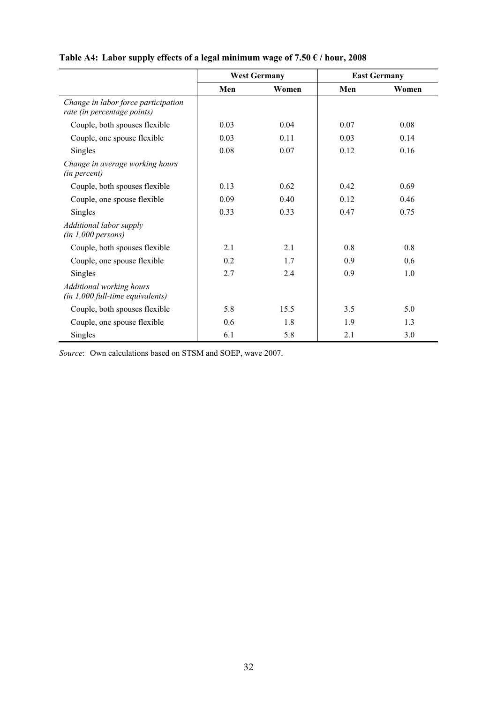|                                                                    |      | <b>West Germany</b> |      | <b>East Germany</b> |
|--------------------------------------------------------------------|------|---------------------|------|---------------------|
|                                                                    | Men  | Women               | Men  | Women               |
| Change in labor force participation<br>rate (in percentage points) |      |                     |      |                     |
| Couple, both spouses flexible                                      | 0.03 | 0.04                | 0.07 | 0.08                |
| Couple, one spouse flexible                                        | 0.03 | 0.11                | 0.03 | 0.14                |
| <b>Singles</b>                                                     | 0.08 | 0.07                | 0.12 | 0.16                |
| Change in average working hours<br>(in percent)                    |      |                     |      |                     |
| Couple, both spouses flexible                                      | 0.13 | 0.62                | 0.42 | 0.69                |
| Couple, one spouse flexible                                        | 0.09 | 0.40                | 0.12 | 0.46                |
| <b>Singles</b>                                                     | 0.33 | 0.33                | 0.47 | 0.75                |
| Additional labor supply<br>(in 1,000 persons)                      |      |                     |      |                     |
| Couple, both spouses flexible                                      | 2.1  | 2.1                 | 0.8  | 0.8                 |
| Couple, one spouse flexible                                        | 0.2  | 1.7                 | 0.9  | 0.6                 |
| Singles                                                            | 2.7  | 2.4                 | 0.9  | 1.0                 |
| Additional working hours<br>$(in 1,000 full$ -time equivalents)    |      |                     |      |                     |
| Couple, both spouses flexible                                      | 5.8  | 15.5                | 3.5  | 5.0                 |
| Couple, one spouse flexible                                        | 0.6  | 1.8                 | 1.9  | 1.3                 |
| Singles                                                            | 6.1  | 5.8                 | 2.1  | 3.0                 |

# **Table A4: Labor supply effects of a legal minimum wage of 7.50 € / hour, 2008**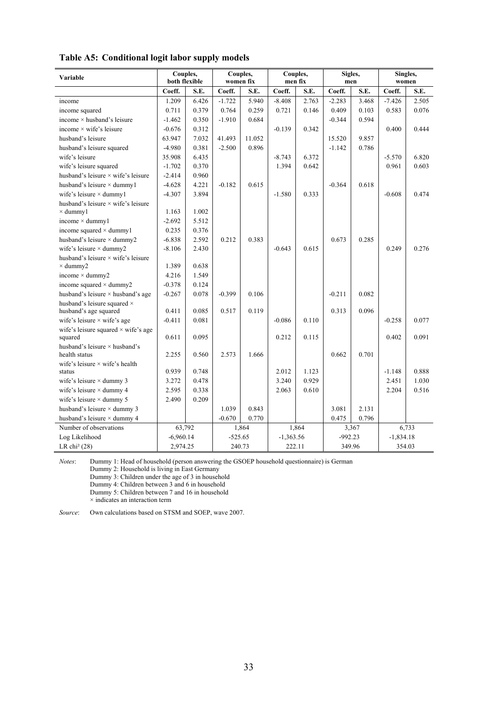|                                                 | Couples,      |       | Couples,  |        | Couples,    |       | Sigles,   |       | Singles,    |       |
|-------------------------------------------------|---------------|-------|-----------|--------|-------------|-------|-----------|-------|-------------|-------|
| Variable                                        | both flexible |       | women fix |        | men fix     |       | men       |       | women       |       |
|                                                 | Coeff.        | S.E.  | Coeff.    | S.E.   | Coeff.      | S.E.  | Coeff.    | S.E.  | Coeff.      | S.E.  |
| income                                          | 1.209         | 6.426 | $-1.722$  | 5.940  | $-8.408$    | 2.763 | $-2.283$  | 3.468 | $-7.426$    | 2.505 |
| income squared                                  | 0.711         | 0.379 | 0.764     | 0.259  | 0.721       | 0.146 | 0.409     | 0.103 | 0.583       | 0.076 |
| income $\times$ husband's leisure               | $-1.462$      | 0.350 | $-1.910$  | 0.684  |             |       | $-0.344$  | 0.594 |             |       |
| income $\times$ wife's leisure                  | $-0.676$      | 0.312 |           |        | $-0.139$    | 0.342 |           |       | 0.400       | 0.444 |
| husband's leisure                               | 63.947        | 7.032 | 41.493    | 11.052 |             |       | 15.520    | 9.857 |             |       |
| husband's leisure squared                       | $-4.980$      | 0.381 | $-2.500$  | 0.896  |             |       | $-1.142$  | 0.786 |             |       |
| wife's leisure                                  | 35.908        | 6.435 |           |        | $-8.743$    | 6.372 |           |       | $-5.570$    | 6.820 |
| wife's leisure squared                          | $-1.702$      | 0.370 |           |        | 1.394       | 0.642 |           |       | 0.961       | 0.603 |
| husband's leisure $\times$ wife's leisure       | $-2.414$      | 0.960 |           |        |             |       |           |       |             |       |
| husband's leisure $\times$ dummy1               | $-4.628$      | 4.221 | $-0.182$  | 0.615  |             |       | $-0.364$  | 0.618 |             |       |
| wife's leisure $\times$ dummy1                  | $-4.307$      | 3.894 |           |        | $-1.580$    | 0.333 |           |       | $-0.608$    | 0.474 |
| husband's leisure × wife's leisure              |               |       |           |        |             |       |           |       |             |       |
| $\times$ dummy1                                 | 1.163         | 1.002 |           |        |             |       |           |       |             |       |
| income $\times$ dummy1                          | $-2.692$      | 5.512 |           |        |             |       |           |       |             |       |
| income squared $\times$ dummy1                  | 0.235         | 0.376 |           |        |             |       |           |       |             |       |
| husband's leisure $\times$ dummy2               | $-6.838$      | 2.592 | 0.212     | 0.383  |             |       | 0.673     | 0.285 |             |       |
| wife's leisure $\times$ dummy2                  | $-8.106$      | 2.430 |           |        | $-0.643$    | 0.615 |           |       | 0.249       | 0.276 |
| husband's leisure $\times$ wife's leisure       |               |       |           |        |             |       |           |       |             |       |
| $\times$ dummy2                                 | 1.389         | 0.638 |           |        |             |       |           |       |             |       |
| income $\times$ dummy2                          | 4.216         | 1.549 |           |        |             |       |           |       |             |       |
| income squared $\times$ dummy2                  | $-0.378$      | 0.124 |           |        |             |       |           |       |             |       |
| husband's leisure $\times$ husband's age        | $-0.267$      | 0.078 | $-0.399$  | 0.106  |             |       | $-0.211$  | 0.082 |             |       |
| husband's leisure squared $\times$              |               |       |           |        |             |       |           |       |             |       |
| husband's age squared                           | 0.411         | 0.085 | 0.517     | 0.119  |             |       | 0.313     | 0.096 |             |       |
| wife's leisure $\times$ wife's age              | $-0.411$      | 0.081 |           |        | $-0.086$    | 0.110 |           |       | $-0.258$    | 0.077 |
| wife's leisure squared $\times$ wife's age      | 0.611         | 0.095 |           |        | 0.212       | 0.115 |           |       | 0.402       | 0.091 |
| squared<br>husband's leisure $\times$ husband's |               |       |           |        |             |       |           |       |             |       |
| health status                                   | 2.255         | 0.560 | 2.573     | 1.666  |             |       | 0.662     | 0.701 |             |       |
| wife's leisure $\times$ wife's health           |               |       |           |        |             |       |           |       |             |       |
| status                                          | 0.939         | 0.748 |           |        | 2.012       | 1.123 |           |       | $-1.148$    | 0.888 |
| wife's leisure $\times$ dummy 3                 | 3.272         | 0.478 |           |        | 3.240       | 0.929 |           |       | 2.451       | 1.030 |
| wife's leisure $\times$ dummy 4                 | 2.595         | 0.338 |           |        | 2.063       | 0.610 |           |       | 2.204       | 0.516 |
| wife's leisure $\times$ dummy 5                 | 2.490         | 0.209 |           |        |             |       |           |       |             |       |
| husband's leisure × dummy 3                     |               |       | 1.039     | 0.843  |             |       | 3.081     | 2.131 |             |       |
| husband's leisure $\times$ dummy 4              |               |       | $-0.670$  | 0.770  |             |       | 0.475     | 0.796 |             |       |
| Number of observations                          | 63,792        |       |           | 1,864  |             | 1,864 |           | 3,367 |             | 6,733 |
| Log Likelihood                                  | $-6,960.14$   |       | $-525.65$ |        | $-1,363.56$ |       | $-992.23$ |       | $-1,834.18$ |       |
| LR chi <sup>2</sup> $(28)$                      | 2,974.25      |       | 240.73    |        | 222.11      |       | 349.96    |       | 354.03      |       |

**Table A5: Conditional logit labor supply models** 

*Notes*: Dummy 1: Head of household (person answering the GSOEP household questionnaire) is German

Dummy 2: Household is living in East Germany

Dummy 3: Children under the age of 3 in household

Dummy 4: Children between 3 and 6 in household

Dummy 5: Children between 7 and 16 in household

 $\times$  indicates an interaction term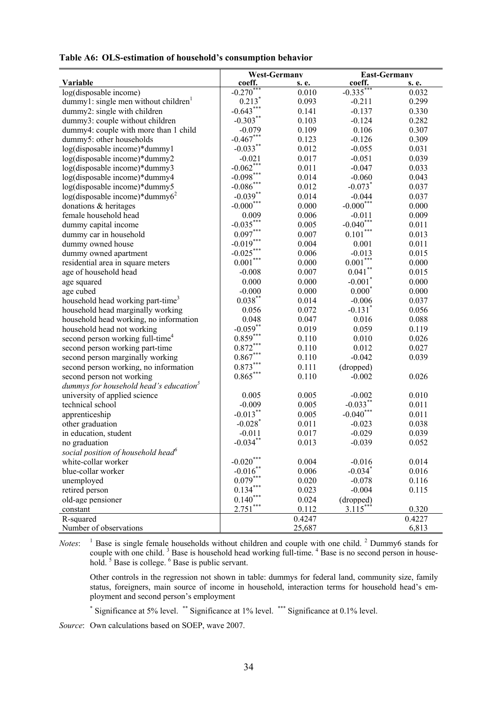|                                                    | <b>West-Germany</b>     |        | <b>East-Germany</b>   |        |
|----------------------------------------------------|-------------------------|--------|-----------------------|--------|
| Variable                                           | coeff.                  | s. e.  | coeff.                | s. e.  |
| log(disposable income)                             | $-0.270***$             | 0.010  | $-0.335***$           | 0.032  |
| dummy1: single men without children <sup>1</sup>   | $0.213*$                | 0.093  | $-0.211$              | 0.299  |
| dummy2: single with children                       | $-0.643***$             | 0.141  | $-0.137$              | 0.330  |
| dummy3: couple without children                    | $-0.303***$             | 0.103  | $-0.124$              | 0.282  |
| dummy4: couple with more than 1 child              | $-0.079$                | 0.109  | 0.106                 | 0.307  |
| dummy5: other households                           | $-0.467***$             | 0.123  | $-0.126$              | 0.309  |
| log(disposable income)*dummy1                      | $-0.033***$             | 0.012  | $-0.055$              | 0.031  |
| log(disposable income)*dummy2                      | $-0.021$                | 0.017  | $-0.051$              | 0.039  |
| log(disposable income)*dummy3                      | $-0.062***$             | 0.011  | $-0.047$              | 0.033  |
| log(disposable income)*dummy4                      | $-0.098***$             | 0.014  | $-0.060$              | 0.043  |
| log(disposable income)*dummy5                      | $-0.086$ ***            | 0.012  | $-0.073$ <sup>*</sup> | 0.037  |
| $log(disposable income)*dummy62$                   | $-0.039**$              | 0.014  | $-0.044$              | 0.037  |
| donations & heritages                              | $\textbf{-0.000}^{***}$ | 0.000  | $-0.000$ ***          | 0.000  |
| female household head                              | 0.009                   | 0.006  | $-0.011$              | 0.009  |
| dummy capital income                               | $-0.035***$             | 0.005  | $-0.040$ ***          | 0.011  |
| dummy car in household                             | $0.097***$              | 0.007  | $0.101***$            | 0.013  |
| dummy owned house                                  | $-0.019***$             | 0.004  | 0.001                 | 0.011  |
| dummy owned apartment                              | $-0.025***$             | 0.006  | $-0.013$              | 0.015  |
| residential area in square meters                  | $0.001\sp{***}$         | 0.000  | $0.001***$            | 0.000  |
| age of household head                              | $-0.008$                | 0.007  | $0.041$ **            | 0.015  |
| age squared                                        | 0.000                   | 0.000  | $-0.001$ <sup>*</sup> | 0.000  |
| age cubed                                          | $-0.000$                | 0.000  | $0.000*$              | 0.000  |
| household head working part-time <sup>3</sup>      | $0.038***$              | 0.014  | $-0.006$              | 0.037  |
| household head marginally working                  | 0.056                   | 0.072  | $-0.131$ <sup>*</sup> | 0.056  |
| household head working, no information             | 0.048                   | 0.047  | 0.016                 | 0.088  |
| household head not working                         | $-0.059$ **             | 0.019  | 0.059                 | 0.119  |
| second person working full-time <sup>4</sup>       | $0.859***$              | 0.110  | 0.010                 | 0.026  |
| second person working part-time                    | $0.872***$              | 0.110  | 0.012                 | 0.027  |
| second person marginally working                   | $0.867***$              | 0.110  | $-0.042$              | 0.039  |
| second person working, no information              | $0.873***$              | 0.111  | (dropped)             |        |
| second person not working                          | $0.865***$              | 0.110  | $-0.002$              | 0.026  |
| dummys for household head's education <sup>3</sup> |                         |        |                       |        |
| university of applied science                      | 0.005                   | 0.005  | $-0.002$              | 0.010  |
| technical school                                   | $-0.009$                | 0.005  | $-0.033$ **           | 0.011  |
| apprenticeship                                     | $-0.013***$             | 0.005  | $-0.040$ ***          | 0.011  |
| other graduation                                   | $-0.028$ <sup>*</sup>   | 0.011  | $-0.023$              | 0.038  |
| in education, student                              | $-0.011$                | 0.017  | $-0.029$              | 0.039  |
| no graduation                                      | $-0.034***$             | 0.013  | $-0.039$              | 0.052  |
| social position of household head <sup>6</sup>     |                         |        |                       |        |
| white-collar worker                                | $-0.020***$             | 0.004  | $-0.016$              | 0.014  |
| blue-collar worker                                 | $-0.016$ **             | 0.006  | $-0.034$ <sup>*</sup> | 0.016  |
| unemployed                                         | $0.079***$              | 0.020  | $-0.078$              | 0.116  |
| retired person                                     | $0.134***$              | 0.023  | $-0.004$              | 0.115  |
| old-age pensioner                                  | $0.140***$              | 0.024  | (dropped)             |        |
| constant                                           | $2.751***$              | 0.112  | $3.115$ *             | 0.320  |
| R-squared                                          |                         | 0.4247 |                       | 0.4227 |
| Number of observations                             |                         | 25,687 |                       | 6,813  |

*Notes*: <sup>1</sup> Base is single female households without children and couple with one child. <sup>2</sup> Dummy6 stands for couple with one child.<sup>3</sup> Base is household head working full-time.<sup>4</sup> Base is no second person in household. <sup>5</sup> Base is college. <sup>6</sup> Base is public servant.

Other controls in the regression not shown in table: dummys for federal land, community size, family status, foreigners, main source of income in household, interaction terms for household head's employment and second person's employment

\* Significance at 5% level. \*\* Significance at 1% level. \*\*\* Significance at 0.1% level.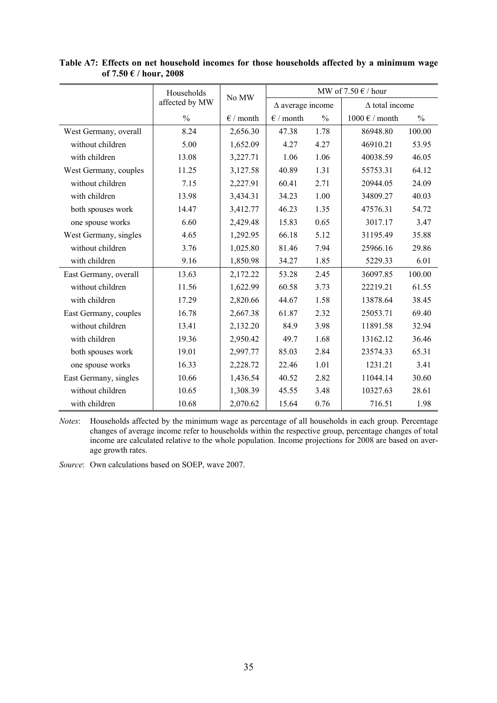|                       | Households     | No MW              | MW of $7.50 \in /$ hour |               |                                 |               |
|-----------------------|----------------|--------------------|-------------------------|---------------|---------------------------------|---------------|
|                       | affected by MW |                    | $\Delta$ average income |               | $\Delta$ total income           |               |
|                       | $\frac{0}{0}$  | $\epsilon$ / month | $\epsilon$ / month      | $\frac{0}{0}$ | $1000 \text{ }\epsilon$ / month | $\frac{0}{0}$ |
| West Germany, overall | 8.24           | 2,656.30           | 47.38                   | 1.78          | 86948.80                        | 100.00        |
| without children      | 5.00           | 1,652.09           | 4.27                    | 4.27          | 46910.21                        | 53.95         |
| with children         | 13.08          | 3,227.71           | 1.06                    | 1.06          | 40038.59                        | 46.05         |
| West Germany, couples | 11.25          | 3,127.58           | 40.89                   | 1.31          | 55753.31                        | 64.12         |
| without children      | 7.15           | 2,227.91           | 60.41                   | 2.71          | 20944.05                        | 24.09         |
| with children         | 13.98          | 3,434.31           | 34.23                   | 1.00          | 34809.27                        | 40.03         |
| both spouses work     | 14.47          | 3,412.77           | 46.23                   | 1.35          | 47576.31                        | 54.72         |
| one spouse works      | 6.60           | 2,429.48           | 15.83                   | 0.65          | 3017.17                         | 3.47          |
| West Germany, singles | 4.65           | 1,292.95           | 66.18                   | 5.12          | 31195.49                        | 35.88         |
| without children      | 3.76           | 1,025.80           | 81.46                   | 7.94          | 25966.16                        | 29.86         |
| with children         | 9.16           | 1,850.98           | 34.27                   | 1.85          | 5229.33                         | 6.01          |
| East Germany, overall | 13.63          | 2,172.22           | 53.28                   | 2.45          | 36097.85                        | 100.00        |
| without children      | 11.56          | 1,622.99           | 60.58                   | 3.73          | 22219.21                        | 61.55         |
| with children         | 17.29          | 2,820.66           | 44.67                   | 1.58          | 13878.64                        | 38.45         |
| East Germany, couples | 16.78          | 2,667.38           | 61.87                   | 2.32          | 25053.71                        | 69.40         |
| without children      | 13.41          | 2,132.20           | 84.9                    | 3.98          | 11891.58                        | 32.94         |
| with children         | 19.36          | 2,950.42           | 49.7                    | 1.68          | 13162.12                        | 36.46         |
| both spouses work     | 19.01          | 2,997.77           | 85.03                   | 2.84          | 23574.33                        | 65.31         |
| one spouse works      | 16.33          | 2,228.72           | 22.46                   | 1.01          | 1231.21                         | 3.41          |
| East Germany, singles | 10.66          | 1,436.54           | 40.52                   | 2.82          | 11044.14                        | 30.60         |
| without children      | 10.65          | 1,308.39           | 45.55                   | 3.48          | 10327.63                        | 28.61         |
| with children         | 10.68          | 2,070.62           | 15.64                   | 0.76          | 716.51                          | 1.98          |

**Table A7: Effects on net household incomes for those households affected by a minimum wage of 7.50 € / hour, 2008** 

*Notes*: Households affected by the minimum wage as percentage of all households in each group. Percentage changes of average income refer to households within the respective group, percentage changes of total income are calculated relative to the whole population. Income projections for 2008 are based on average growth rates.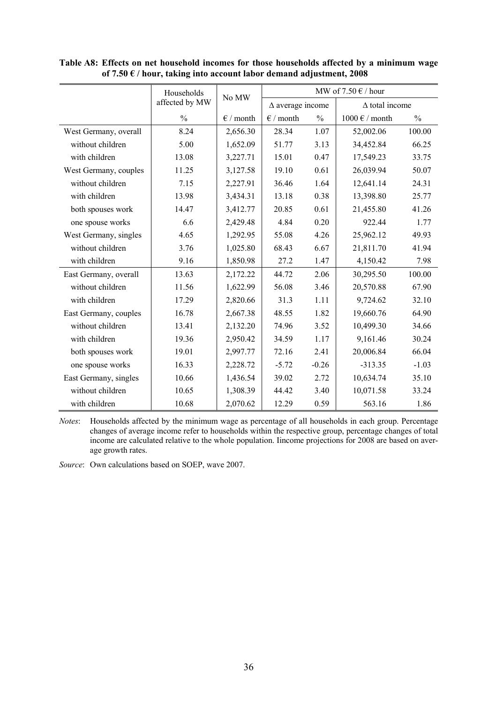|                       | Households     | No MW              | MW of 7.50 $\in$ / hour |               |                                 |               |
|-----------------------|----------------|--------------------|-------------------------|---------------|---------------------------------|---------------|
|                       | affected by MW |                    | $\Delta$ average income |               | $\Delta$ total income           |               |
|                       | $\frac{0}{0}$  | $\epsilon$ / month | $\epsilon$ / month      | $\frac{0}{0}$ | $1000 \text{ }\epsilon$ / month | $\frac{0}{0}$ |
| West Germany, overall | 8.24           | 2,656.30           | 28.34                   | 1.07          | 52,002.06                       | 100.00        |
| without children      | 5.00           | 1,652.09           | 51.77                   | 3.13          | 34,452.84                       | 66.25         |
| with children         | 13.08          | 3,227.71           | 15.01                   | 0.47          | 17,549.23                       | 33.75         |
| West Germany, couples | 11.25          | 3,127.58           | 19.10                   | 0.61          | 26,039.94                       | 50.07         |
| without children      | 7.15           | 2,227.91           | 36.46                   | 1.64          | 12,641.14                       | 24.31         |
| with children         | 13.98          | 3,434.31           | 13.18                   | 0.38          | 13,398.80                       | 25.77         |
| both spouses work     | 14.47          | 3,412.77           | 20.85                   | 0.61          | 21,455.80                       | 41.26         |
| one spouse works      | 6.6            | 2,429.48           | 4.84                    | 0.20          | 922.44                          | 1.77          |
| West Germany, singles | 4.65           | 1,292.95           | 55.08                   | 4.26          | 25,962.12                       | 49.93         |
| without children      | 3.76           | 1,025.80           | 68.43                   | 6.67          | 21,811.70                       | 41.94         |
| with children         | 9.16           | 1,850.98           | 27.2                    | 1.47          | 4,150.42                        | 7.98          |
| East Germany, overall | 13.63          | 2,172.22           | 44.72                   | 2.06          | 30,295.50                       | 100.00        |
| without children      | 11.56          | 1,622.99           | 56.08                   | 3.46          | 20,570.88                       | 67.90         |
| with children         | 17.29          | 2,820.66           | 31.3                    | 1.11          | 9,724.62                        | 32.10         |
| East Germany, couples | 16.78          | 2,667.38           | 48.55                   | 1.82          | 19,660.76                       | 64.90         |
| without children      | 13.41          | 2,132.20           | 74.96                   | 3.52          | 10,499.30                       | 34.66         |
| with children         | 19.36          | 2,950.42           | 34.59                   | 1.17          | 9,161.46                        | 30.24         |
| both spouses work     | 19.01          | 2,997.77           | 72.16                   | 2.41          | 20,006.84                       | 66.04         |
| one spouse works      | 16.33          | 2,228.72           | $-5.72$                 | $-0.26$       | $-313.35$                       | $-1.03$       |
| East Germany, singles | 10.66          | 1,436.54           | 39.02                   | 2.72          | 10,634.74                       | 35.10         |
| without children      | 10.65          | 1,308.39           | 44.42                   | 3.40          | 10,071.58                       | 33.24         |
| with children         | 10.68          | 2,070.62           | 12.29                   | 0.59          | 563.16                          | 1.86          |

**Table A8: Effects on net household incomes for those households affected by a minimum wage of 7.50 € / hour, taking into account labor demand adjustment, 2008** 

*Notes*: Households affected by the minimum wage as percentage of all households in each group. Percentage changes of average income refer to households within the respective group, percentage changes of total income are calculated relative to the whole population. Iincome projections for 2008 are based on average growth rates.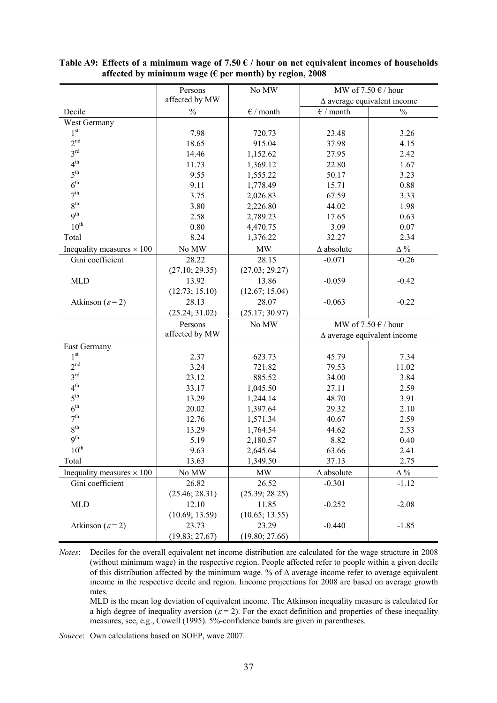|                                  | Persons        | No MW                           | MW of $7.50 \text{ }\epsilon$ / hour |                                    |  |
|----------------------------------|----------------|---------------------------------|--------------------------------------|------------------------------------|--|
|                                  | affected by MW |                                 |                                      | $\Delta$ average equivalent income |  |
| Decile                           | $\frac{0}{0}$  | $\epsilon$ / month              | $\epsilon$ / month                   | $\frac{0}{0}$                      |  |
| West Germany                     |                |                                 |                                      |                                    |  |
| 1 <sup>st</sup>                  | 7.98           | 720.73                          | 23.48                                | 3.26                               |  |
| 2 <sup>nd</sup>                  | 18.65          | 915.04                          | 37.98                                | 4.15                               |  |
| 3 <sup>rd</sup>                  | 14.46          | 1,152.62                        | 27.95                                | 2.42                               |  |
| 4 <sup>th</sup>                  | 11.73          | 1,369.12                        | 22.80                                | 1.67                               |  |
| 5 <sup>th</sup>                  | 9.55           | 1,555.22                        | 50.17                                | 3.23                               |  |
| 6 <sup>th</sup>                  | 9.11           | 1,778.49                        | 15.71                                | 0.88                               |  |
| 7 <sup>th</sup>                  | 3.75           | 2,026.83                        | 67.59                                | 3.33                               |  |
| 8 <sup>th</sup>                  | 3.80           | 2,226.80                        | 44.02                                | 1.98                               |  |
| 9 <sup>th</sup>                  | 2.58           | 2,789.23                        | 17.65                                | 0.63                               |  |
| $10^{\text{th}}$                 | 0.80           | 4,470.75                        | 3.09                                 | 0.07                               |  |
| Total                            | 8.24           | 1,376.22                        | 32.27                                | 2.34                               |  |
| Inequality measures $\times$ 100 | No MW          | $\ensuremath{\text{MW}}\xspace$ | $\Delta$ absolute                    | $\Delta$ %                         |  |
| Gini coefficient                 | 28.22          | 28.15                           | $-0.071$                             | $-0.26$                            |  |
|                                  | (27.10; 29.35) | (27.03; 29.27)                  |                                      |                                    |  |
| <b>MLD</b>                       | 13.92          | 13.86                           | $-0.059$                             | $-0.42$                            |  |
|                                  | (12.73; 15.10) | (12.67; 15.04)                  |                                      |                                    |  |
| Atkinson ( $\varepsilon$ =2)     | 28.13          | 28.07                           | $-0.063$                             | $-0.22$                            |  |
|                                  | (25.24; 31.02) | (25.17; 30.97)                  |                                      |                                    |  |
|                                  | Persons        | No MW                           |                                      | MW of $7.50 \in /$ hour            |  |
|                                  | affected by MW |                                 |                                      | $\Delta$ average equivalent income |  |
| East Germany                     |                |                                 |                                      |                                    |  |
| 1 <sup>st</sup>                  | 2.37           | 623.73                          | 45.79                                | 7.34                               |  |
| 2 <sup>nd</sup>                  | 3.24           | 721.82                          | 79.53                                | 11.02                              |  |
| 3 <sup>rd</sup>                  | 23.12          | 885.52                          | 34.00                                | 3.84                               |  |
| 4 <sup>th</sup>                  | 33.17          | 1,045.50                        | 27.11                                | 2.59                               |  |
| 5 <sup>th</sup>                  | 13.29          | 1,244.14                        | 48.70                                | 3.91                               |  |
| 6 <sup>th</sup>                  | 20.02          | 1,397.64                        | 29.32                                | 2.10                               |  |
| 7 <sup>th</sup>                  | 12.76          | 1,571.34                        | 40.67                                | 2.59                               |  |
| 8 <sup>th</sup>                  | 13.29          | 1,764.54                        | 44.62                                | 2.53                               |  |
| 9 <sup>th</sup>                  | 5.19           | 2,180.57                        | 8.82                                 | 0.40                               |  |
| $10^{\text{th}}$                 | 9.63           | 2,645.64                        | 63.66                                | 2.41                               |  |
| Total                            | 13.63          | 1,349.50                        | 37.13                                | 2.75                               |  |
| Inequality measures $\times$ 100 | No MW          | <b>MW</b>                       | $\Delta$ absolute                    | $\Delta$ %                         |  |
| Gini coefficient                 | 26.82          | 26.52                           | $-0.301$                             | $-1.12$                            |  |
|                                  | (25.46; 28.31) | (25.39; 28.25)                  |                                      |                                    |  |
| <b>MLD</b>                       | 12.10          | 11.85                           | $-0.252$                             | $-2.08$                            |  |
|                                  | (10.69; 13.59) | (10.65; 13.55)                  |                                      |                                    |  |
| Atkinson ( $\varepsilon$ =2)     | 23.73          | 23.29                           | $-0.440$                             | $-1.85$                            |  |
|                                  | (19.83; 27.67) | (19.80; 27.66)                  |                                      |                                    |  |

#### **Table A9: Effects of a minimum wage of 7.50 € / hour on net equivalent incomes of households affected by minimum wage (€ per month) by region, 2008**

*Notes*: Deciles for the overall equivalent net income distribution are calculated for the wage structure in 2008 (without minimum wage) in the respective region. People affected refer to people within a given decile of this distribution affected by the minimum wage. % of ∆ average income refer to average equivalent income in the respective decile and region. Iincome projections for 2008 are based on average growth rates.

MLD is the mean log deviation of equivalent income. The Atkinson inequality measure is calculated for a high degree of inequality aversion ( $\varepsilon = 2$ ). For the exact definition and properties of these inequality measures, see, e.g., Cowell (1995). 5%-confidence bands are given in parentheses.